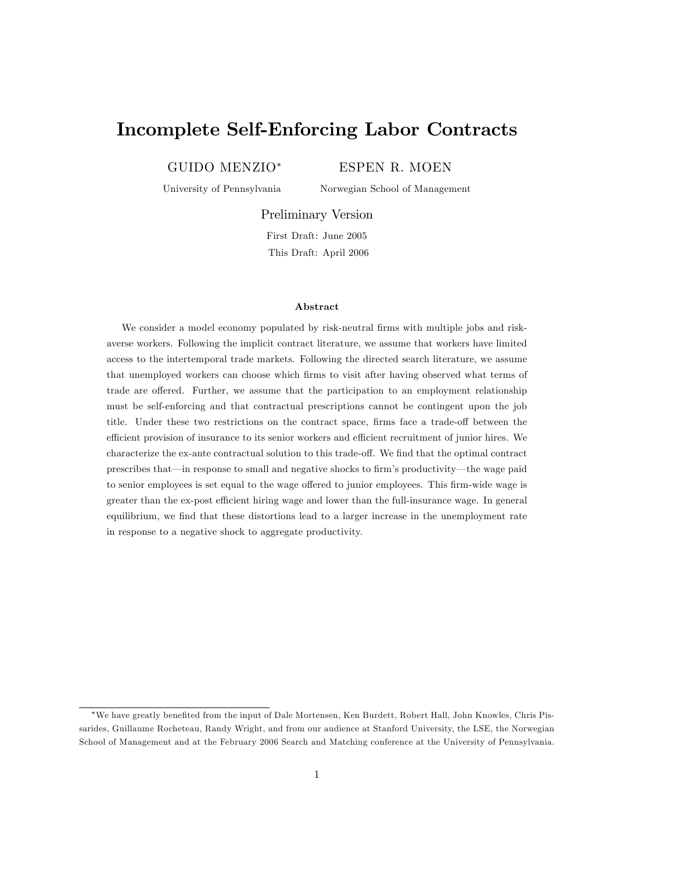# Incomplete Self-Enforcing Labor Contracts

GUIDO MENZIO

ESPEN R. MOEN

University of Pennsylvania

Norwegian School of Management

Preliminary Version

First Draft: June 2005 This Draft: April 2006

#### Abstract

We consider a model economy populated by risk-neutral firms with multiple jobs and riskaverse workers. Following the implicit contract literature, we assume that workers have limited access to the intertemporal trade markets. Following the directed search literature, we assume that unemployed workers can choose which Örms to visit after having observed what terms of trade are offered. Further, we assume that the participation to an employment relationship must be self-enforcing and that contractual prescriptions cannot be contingent upon the job title. Under these two restrictions on the contract space, firms face a trade-off between the efficient provision of insurance to its senior workers and efficient recruitment of junior hires. We characterize the ex-ante contractual solution to this trade-off. We find that the optimal contract prescribes that—in response to small and negative shocks to firm's productivity—the wage paid to senior employees is set equal to the wage offered to junior employees. This firm-wide wage is greater than the ex-post efficient hiring wage and lower than the full-insurance wage. In general equilibrium, we find that these distortions lead to a larger increase in the unemployment rate in response to a negative shock to aggregate productivity.

We have greatly beneÖted from the input of Dale Mortensen, Ken Burdett, Robert Hall, John Knowles, Chris Pissarides, Guillaume Rocheteau, Randy Wright, and from our audience at Stanford University, the LSE, the Norwegian School of Management and at the February 2006 Search and Matching conference at the University of Pennsylvania.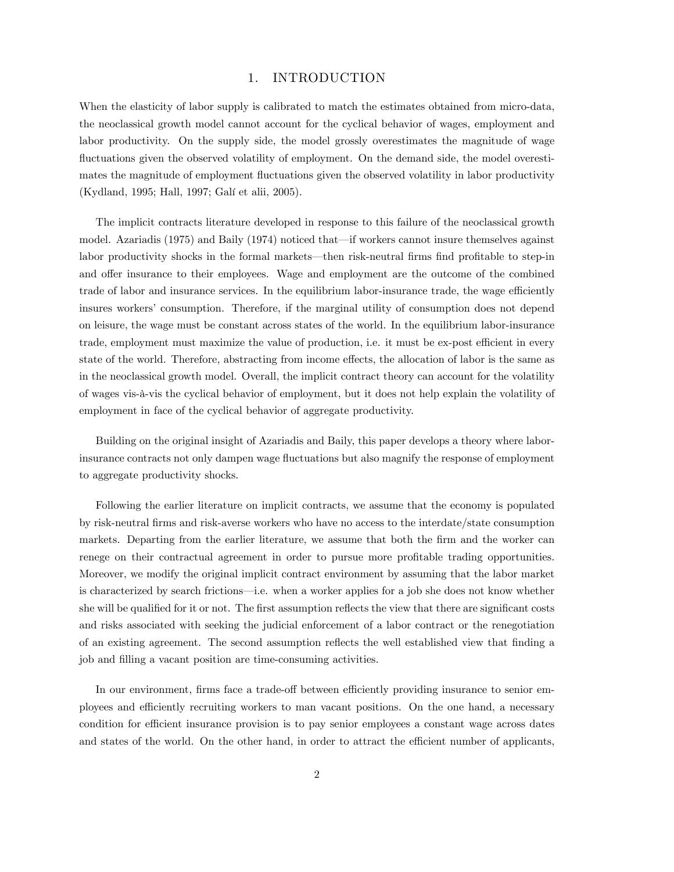# 1. INTRODUCTION

When the elasticity of labor supply is calibrated to match the estimates obtained from micro-data, the neoclassical growth model cannot account for the cyclical behavior of wages, employment and labor productivity. On the supply side, the model grossly overestimates the magnitude of wage fluctuations given the observed volatility of employment. On the demand side, the model overestimates the magnitude of employment fluctuations given the observed volatility in labor productivity (Kydland, 1995; Hall, 1997; Galí et alii, 2005).

The implicit contracts literature developed in response to this failure of the neoclassical growth model. Azariadis (1975) and Baily (1974) noticed that—if workers cannot insure themselves against labor productivity shocks in the formal markets—then risk-neutral firms find profitable to step-in and offer insurance to their employees. Wage and employment are the outcome of the combined trade of labor and insurance services. In the equilibrium labor-insurance trade, the wage efficiently insures workers' consumption. Therefore, if the marginal utility of consumption does not depend on leisure, the wage must be constant across states of the world. In the equilibrium labor-insurance trade, employment must maximize the value of production, i.e. it must be ex-post efficient in every state of the world. Therefore, abstracting from income effects, the allocation of labor is the same as in the neoclassical growth model. Overall, the implicit contract theory can account for the volatility of wages vis-‡-vis the cyclical behavior of employment, but it does not help explain the volatility of employment in face of the cyclical behavior of aggregate productivity.

Building on the original insight of Azariadis and Baily, this paper develops a theory where laborinsurance contracts not only dampen wage fluctuations but also magnify the response of employment to aggregate productivity shocks.

Following the earlier literature on implicit contracts, we assume that the economy is populated by risk-neutral Örms and risk-averse workers who have no access to the interdate/state consumption markets. Departing from the earlier literature, we assume that both the firm and the worker can renege on their contractual agreement in order to pursue more profitable trading opportunities. Moreover, we modify the original implicit contract environment by assuming that the labor market is characterized by search frictions—i.e. when a worker applies for a job she does not know whether she will be qualified for it or not. The first assumption reflects the view that there are significant costs and risks associated with seeking the judicial enforcement of a labor contract or the renegotiation of an existing agreement. The second assumption reflects the well established view that finding a job and filling a vacant position are time-consuming activities.

In our environment, firms face a trade-off between efficiently providing insurance to senior employees and efficiently recruiting workers to man vacant positions. On the one hand, a necessary condition for efficient insurance provision is to pay senior employees a constant wage across dates and states of the world. On the other hand, in order to attract the efficient number of applicants,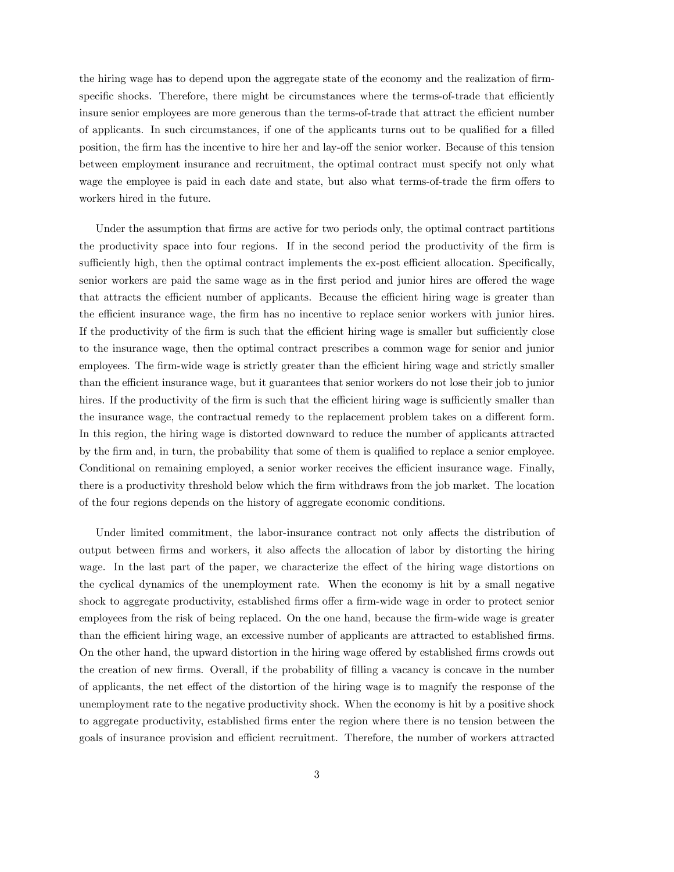the hiring wage has to depend upon the aggregate state of the economy and the realization of firmspecific shocks. Therefore, there might be circumstances where the terms-of-trade that efficiently insure senior employees are more generous than the terms-of-trade that attract the efficient number of applicants. In such circumstances, if one of the applicants turns out to be qualified for a filled position, the firm has the incentive to hire her and lay-off the senior worker. Because of this tension between employment insurance and recruitment, the optimal contract must specify not only what wage the employee is paid in each date and state, but also what terms-of-trade the firm offers to workers hired in the future.

Under the assumption that firms are active for two periods only, the optimal contract partitions the productivity space into four regions. If in the second period the productivity of the firm is sufficiently high, then the optimal contract implements the ex-post efficient allocation. Specifically, senior workers are paid the same wage as in the first period and junior hires are offered the wage that attracts the efficient number of applicants. Because the efficient hiring wage is greater than the efficient insurance wage, the firm has no incentive to replace senior workers with junior hires. If the productivity of the firm is such that the efficient hiring wage is smaller but sufficiently close to the insurance wage, then the optimal contract prescribes a common wage for senior and junior employees. The firm-wide wage is strictly greater than the efficient hiring wage and strictly smaller than the efficient insurance wage, but it guarantees that senior workers do not lose their job to junior hires. If the productivity of the firm is such that the efficient hiring wage is sufficiently smaller than the insurance wage, the contractual remedy to the replacement problem takes on a different form. In this region, the hiring wage is distorted downward to reduce the number of applicants attracted by the firm and, in turn, the probability that some of them is qualified to replace a senior employee. Conditional on remaining employed, a senior worker receives the efficient insurance wage. Finally, there is a productivity threshold below which the firm withdraws from the job market. The location of the four regions depends on the history of aggregate economic conditions.

Under limited commitment, the labor-insurance contract not only affects the distribution of output between firms and workers, it also affects the allocation of labor by distorting the hiring wage. In the last part of the paper, we characterize the effect of the hiring wage distortions on the cyclical dynamics of the unemployment rate. When the economy is hit by a small negative shock to aggregate productivity, established firms offer a firm-wide wage in order to protect senior employees from the risk of being replaced. On the one hand, because the firm-wide wage is greater than the efficient hiring wage, an excessive number of applicants are attracted to established firms. On the other hand, the upward distortion in the hiring wage offered by established firms crowds out the creation of new firms. Overall, if the probability of filling a vacancy is concave in the number of applicants, the net effect of the distortion of the hiring wage is to magnify the response of the unemployment rate to the negative productivity shock. When the economy is hit by a positive shock to aggregate productivity, established firms enter the region where there is no tension between the goals of insurance provision and efficient recruitment. Therefore, the number of workers attracted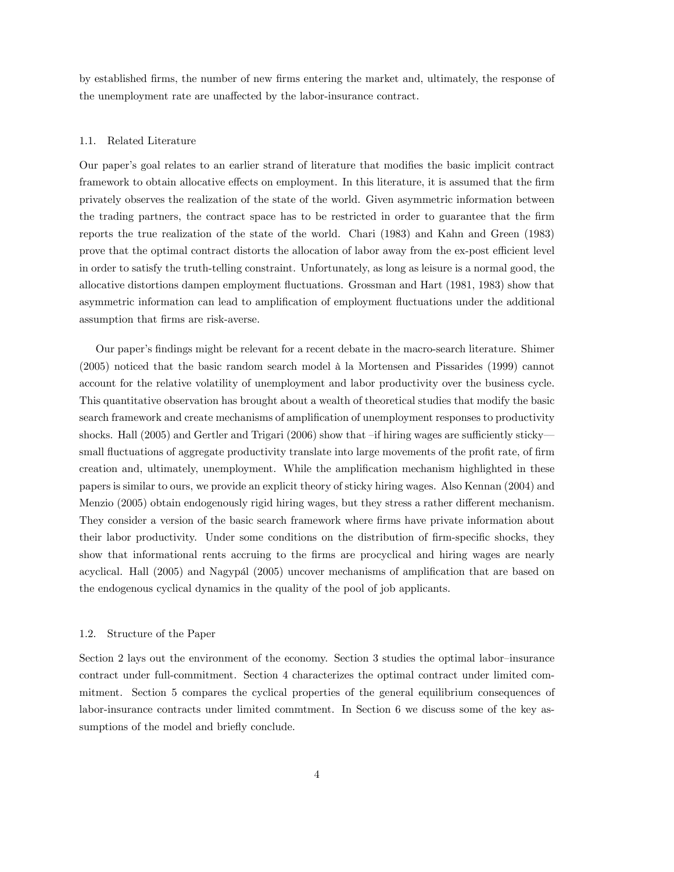by established firms, the number of new firms entering the market and, ultimately, the response of the unemployment rate are unaffected by the labor-insurance contract.

#### 1.1. Related Literature

Our paper's goal relates to an earlier strand of literature that modifies the basic implicit contract framework to obtain allocative effects on employment. In this literature, it is assumed that the firm privately observes the realization of the state of the world. Given asymmetric information between the trading partners, the contract space has to be restricted in order to guarantee that the firm reports the true realization of the state of the world. Chari (1983) and Kahn and Green (1983) prove that the optimal contract distorts the allocation of labor away from the ex-post efficient level in order to satisfy the truth-telling constraint. Unfortunately, as long as leisure is a normal good, the allocative distortions dampen employment áuctuations. Grossman and Hart (1981, 1983) show that asymmetric information can lead to amplification of employment fluctuations under the additional assumption that Örms are risk-averse.

Our paperís Öndings might be relevant for a recent debate in the macro-search literature. Shimer  $(2005)$  noticed that the basic random search model à la Mortensen and Pissarides (1999) cannot account for the relative volatility of unemployment and labor productivity over the business cycle. This quantitative observation has brought about a wealth of theoretical studies that modify the basic search framework and create mechanisms of amplification of unemployment responses to productivity shocks. Hall (2005) and Gertler and Trigari (2006) show that  $\text{-if hiring wages}$  are sufficiently sticky small fluctuations of aggregate productivity translate into large movements of the profit rate, of firm creation and, ultimately, unemployment. While the amplification mechanism highlighted in these papers is similar to ours, we provide an explicit theory of sticky hiring wages. Also Kennan (2004) and Menzio (2005) obtain endogenously rigid hiring wages, but they stress a rather different mechanism. They consider a version of the basic search framework where firms have private information about their labor productivity. Under some conditions on the distribution of firm-specific shocks, they show that informational rents accruing to the firms are procyclical and hiring wages are nearly acyclical. Hall  $(2005)$  and Nagypal  $(2005)$  uncover mechanisms of amplification that are based on the endogenous cyclical dynamics in the quality of the pool of job applicants.

### 1.2. Structure of the Paper

Section 2 lays out the environment of the economy. Section  $3$  studies the optimal labor-insurance contract under full-commitment. Section 4 characterizes the optimal contract under limited commitment. Section 5 compares the cyclical properties of the general equilibrium consequences of labor-insurance contracts under limited commtment. In Section 6 we discuss some of the key assumptions of the model and briefly conclude.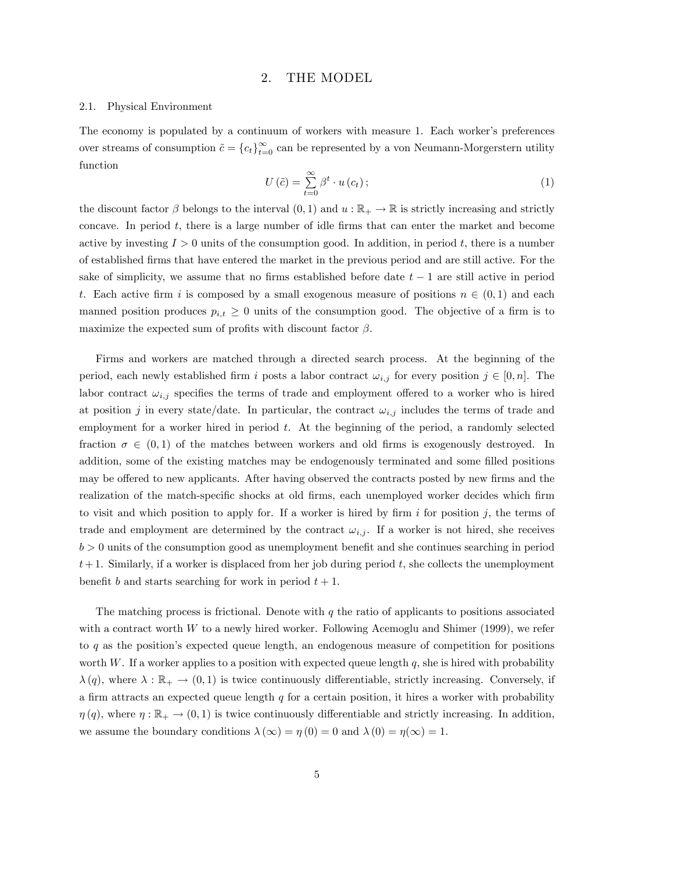# 2. THE MODEL

### 2.1. Physical Environment

The economy is populated by a continuum of workers with measure 1. Each worker's preferences over streams of consumption  $\tilde{c} = {c_t}_{t=0}^{\infty}$  can be represented by a von Neumann-Morgerstern utility function

$$
U(\tilde{c}) = \sum_{t=0}^{\infty} \beta^t \cdot u(c_t); \qquad (1)
$$

the discount factor  $\beta$  belongs to the interval  $(0,1)$  and  $u : \mathbb{R}_+ \to \mathbb{R}$  is strictly increasing and strictly concave. In period  $t$ , there is a large number of idle firms that can enter the market and become active by investing  $I > 0$  units of the consumption good. In addition, in period t, there is a number of established Örms that have entered the market in the previous period and are still active. For the sake of simplicity, we assume that no firms established before date  $t - 1$  are still active in period t. Each active firm i is composed by a small exogenous measure of positions  $n \in (0,1)$  and each manned position produces  $p_{i,t} \geq 0$  units of the consumption good. The objective of a firm is to maximize the expected sum of profits with discount factor  $\beta$ .

Firms and workers are matched through a directed search process. At the beginning of the period, each newly established firm i posts a labor contract  $\omega_{i,j}$  for every position  $j \in [0, n]$ . The labor contract  $\omega_{i,j}$  specifies the terms of trade and employment offered to a worker who is hired at position j in every state/date. In particular, the contract  $\omega_{i,j}$  includes the terms of trade and employment for a worker hired in period  $t$ . At the beginning of the period, a randomly selected fraction  $\sigma \in (0,1)$  of the matches between workers and old firms is exogenously destroyed. In addition, some of the existing matches may be endogenously terminated and some filled positions may be offered to new applicants. After having observed the contracts posted by new firms and the realization of the match-specific shocks at old firms, each unemployed worker decides which firm to visit and which position to apply for. If a worker is hired by firm  $i$  for position  $j$ , the terms of trade and employment are determined by the contract  $\omega_{i,j}$ . If a worker is not hired, she receives  $b > 0$  units of the consumption good as unemployment benefit and she continues searching in period  $t+1$ . Similarly, if a worker is displaced from her job during period t, she collects the unemployment benefit b and starts searching for work in period  $t + 1$ .

The matching process is frictional. Denote with  $q$  the ratio of applicants to positions associated with a contract worth W to a newly hired worker. Following Acemoglu and Shimer (1999), we refer to  $q$  as the position's expected queue length, an endogenous measure of competition for positions worth W. If a worker applies to a position with expected queue length  $q$ , she is hired with probability  $\lambda(q)$ , where  $\lambda : \mathbb{R}_+ \to (0,1)$  is twice continuously differentiable, strictly increasing. Conversely, if a firm attracts an expected queue length  $q$  for a certain position, it hires a worker with probability  $\eta(q)$ , where  $\eta: \mathbb{R}_+ \to (0,1)$  is twice continuously differentiable and strictly increasing. In addition, we assume the boundary conditions  $\lambda(\infty) = \eta(0) = 0$  and  $\lambda(0) = \eta(\infty) = 1$ .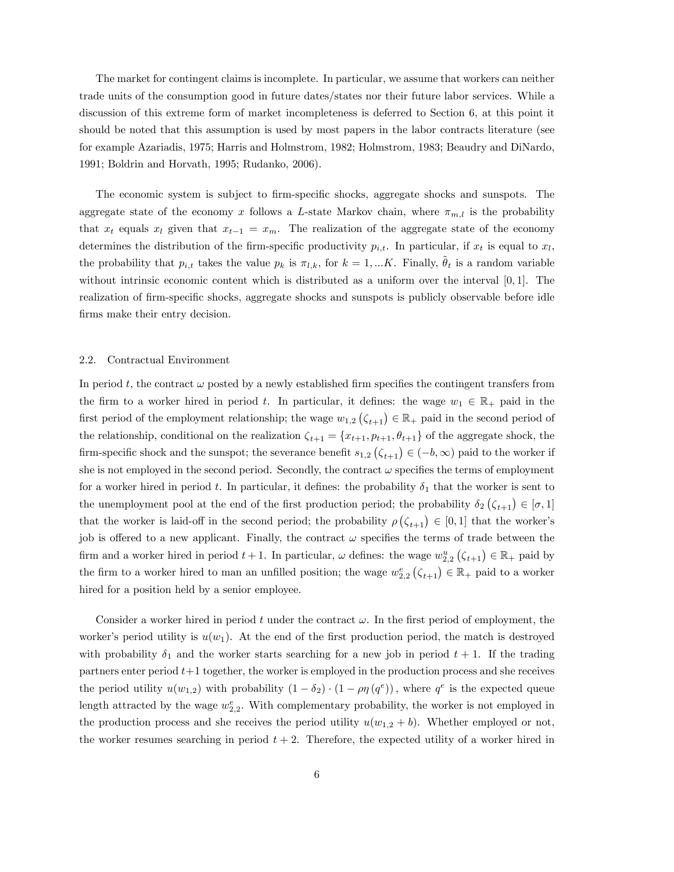The market for contingent claims is incomplete. In particular, we assume that workers can neither trade units of the consumption good in future dates/states nor their future labor services. While a discussion of this extreme form of market incompleteness is deferred to Section 6, at this point it should be noted that this assumption is used by most papers in the labor contracts literature (see for example Azariadis, 1975; Harris and Holmstrom, 1982; Holmstrom, 1983; Beaudry and DiNardo, 1991; Boldrin and Horvath, 1995; Rudanko, 2006).

The economic system is subject to firm-specific shocks, aggregate shocks and sunspots. The aggregate state of the economy x follows a L-state Markov chain, where  $\pi_{m,l}$  is the probability that  $x_t$  equals  $x_l$  given that  $x_{t-1} = x_m$ . The realization of the aggregate state of the economy determines the distribution of the firm-specific productivity  $p_{i,t}$ . In particular, if  $x_t$  is equal to  $x_l$ , the probability that  $p_{i,t}$  takes the value  $p_k$  is  $\pi_{l,k}$ , for  $k = 1, ...K$ . Finally,  $\theta_t$  is a random variable without intrinsic economic content which is distributed as a uniform over the interval  $[0, 1]$ . The realization of firm-specific shocks, aggregate shocks and sunspots is publicly observable before idle firms make their entry decision.

#### 2.2. Contractual Environment

In period t, the contract  $\omega$  posted by a newly established firm specifies the contingent transfers from the firm to a worker hired in period t. In particular, it defines: the wage  $w_1 \in \mathbb{R}_+$  paid in the first period of the employment relationship; the wage  $w_{1,2}(\zeta_{t+1}) \in \mathbb{R}_+$  paid in the second period of the relationship, conditional on the realization  $\zeta_{t+1} = \{x_{t+1}, p_{t+1}, \theta_{t+1}\}$  of the aggregate shock, the firm-specific shock and the sunspot; the severance benefit  $s_{1,2}$   $(\zeta_{t+1}) \in (-b, \infty)$  paid to the worker if she is not employed in the second period. Secondly, the contract  $\omega$  specifies the terms of employment for a worker hired in period t. In particular, it defines: the probability  $\delta_1$  that the worker is sent to the unemployment pool at the end of the first production period; the probability  $\delta_2 (\zeta_{t+1}) \in [\sigma, 1]$ that the worker is laid-off in the second period; the probability  $\rho(\zeta_{t+1}) \in [0,1]$  that the worker's job is offered to a new applicant. Finally, the contract  $\omega$  specifies the terms of trade between the firm and a worker hired in period  $t + 1$ . In particular,  $\omega$  defines: the wage  $w_{2,2}^u(\zeta_{t+1}) \in \mathbb{R}_+$  paid by the firm to a worker hired to man an unfilled position; the wage  $w_{2,2}^e(\zeta_{t+1}) \in \mathbb{R}_+$  paid to a worker hired for a position held by a senior employee.

Consider a worker hired in period t under the contract  $\omega$ . In the first period of employment, the worker's period utility is  $u(w_1)$ . At the end of the first production period, the match is destroyed with probability  $\delta_1$  and the worker starts searching for a new job in period  $t + 1$ . If the trading partners enter period  $t+1$  together, the worker is employed in the production process and she receives the period utility  $u(w_{1,2})$  with probability  $(1 - \delta_2) \cdot (1 - \rho \eta(q^e))$ , where  $q^e$  is the expected queue length attracted by the wage  $w_{2,2}^e$ . With complementary probability, the worker is not employed in the production process and she receives the period utility  $u(w_{1,2} + b)$ . Whether employed or not, the worker resumes searching in period  $t + 2$ . Therefore, the expected utility of a worker hired in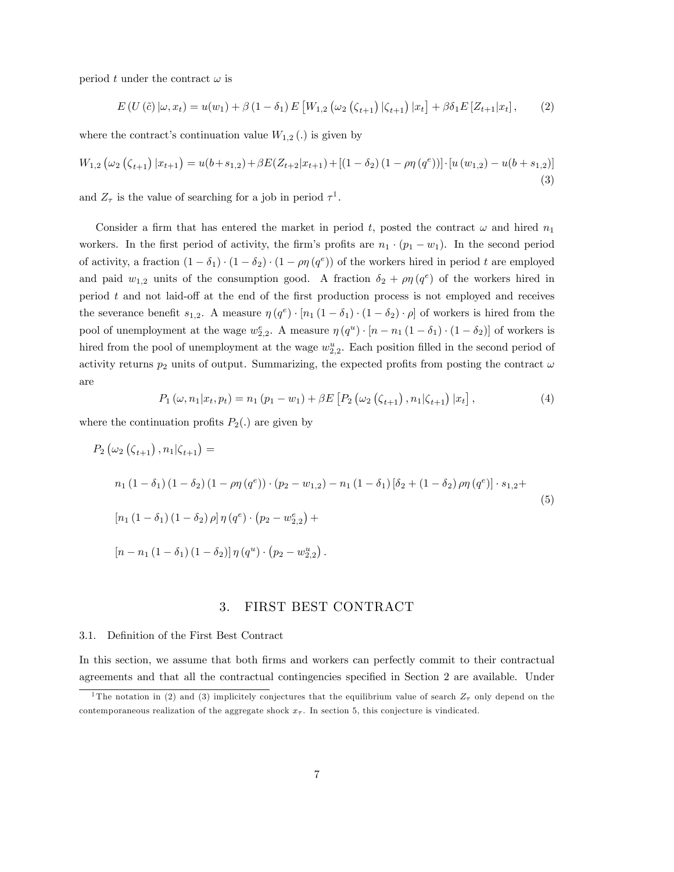period t under the contract  $\omega$  is

$$
E(U(\tilde{c}) | \omega, x_t) = u(w_1) + \beta (1 - \delta_1) E[W_{1,2}(\omega_2(\zeta_{t+1}) | \zeta_{t+1}) | x_t] + \beta \delta_1 E[Z_{t+1} | x_t], \qquad (2)
$$

where the contract's continuation value  $W_{1,2}$  (.) is given by

$$
W_{1,2}(\omega_2(\zeta_{t+1})|x_{t+1}) = u(b+s_{1,2}) + \beta E(Z_{t+2}|x_{t+1}) + [(1-\delta_2)(1-\rho\eta(q^e))] \cdot [u(w_{1,2}) - u(b+s_{1,2})]
$$
\n(3)

and  $Z_{\tau}$  is the value of searching for a job in period  $\tau^{1}$ .

Consider a firm that has entered the market in period t, posted the contract  $\omega$  and hired  $n_1$ workers. In the first period of activity, the firm's profits are  $n_1 \cdot (p_1 - w_1)$ . In the second period of activity, a fraction  $(1 - \delta_1) \cdot (1 - \delta_2) \cdot (1 - \rho \eta (q^e))$  of the workers hired in period t are employed and paid  $w_{1,2}$  units of the consumption good. A fraction  $\delta_2 + \rho \eta (q^e)$  of the workers hired in period  $t$  and not laid-off at the end of the first production process is not employed and receives the severance benefit  $s_{1,2}$ . A measure  $\eta(q^e) \cdot [n_1(1-\delta_1) \cdot (1-\delta_2) \cdot \rho]$  of workers is hired from the pool of unemployment at the wage  $w_{2,2}^e$ . A measure  $\eta(q^u) \cdot [n - n_1(1 - \delta_1) \cdot (1 - \delta_2)]$  of workers is hired from the pool of unemployment at the wage  $w_{2,2}^u$ . Each position filled in the second period of activity returns  $p_2$  units of output. Summarizing, the expected profits from posting the contract  $\omega$ are

$$
P_1(\omega, n_1 | x_t, p_t) = n_1 (p_1 - w_1) + \beta E \left[ P_2(\omega_2 (\zeta_{t+1}), n_1 | \zeta_{t+1}) | x_t \right], \tag{4}
$$

where the continuation profits  $P_2(.)$  are given by

$$
P_2(\omega_2(\zeta_{t+1}), n_1|\zeta_{t+1}) =
$$
  
\n
$$
n_1(1 - \delta_1)(1 - \delta_2)(1 - \rho\eta(q^e)) \cdot (p_2 - w_{1,2}) - n_1(1 - \delta_1)[\delta_2 + (1 - \delta_2)\rho\eta(q^e)] \cdot s_{1,2} +
$$
  
\n
$$
[n_1(1 - \delta_1)(1 - \delta_2)\rho]\eta(q^e) \cdot (p_2 - w_{2,2}^e) +
$$
  
\n
$$
[n - n_1(1 - \delta_1)(1 - \delta_2)]\eta(q^u) \cdot (p_2 - w_{2,2}^u).
$$
\n(5)

# 3. FIRST BEST CONTRACT

#### 3.1. Definition of the First Best Contract

In this section, we assume that both firms and workers can perfectly commit to their contractual agreements and that all the contractual contingencies specified in Section 2 are available. Under

<sup>&</sup>lt;sup>1</sup>The notation in (2) and (3) implicitely conjectures that the equilibrium value of search  $Z<sub>\tau</sub>$  only depend on the contemporaneous realization of the aggregate shock  $x<sub>\tau</sub>$ . In section 5, this conjecture is vindicated.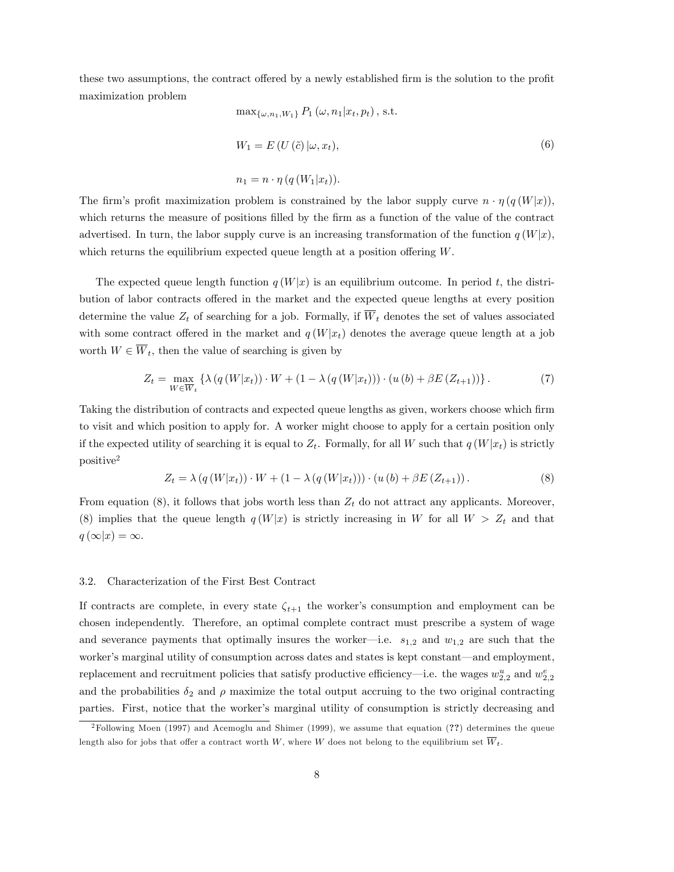these two assumptions, the contract offered by a newly established firm is the solution to the profit maximization problem

$$
\max_{\{\omega, n_1, W_1\}} P_1(\omega, n_1 | x_t, p_t), \text{ s.t.}
$$
  
\n
$$
W_1 = E(U(\tilde{c}) | \omega, x_t),
$$
  
\n
$$
n_1 = n \cdot \eta(q(W_1 | x_t)).
$$
\n(6)

The firm's profit maximization problem is constrained by the labor supply curve  $n \cdot \eta(q(W|x))$ , which returns the measure of positions filled by the firm as a function of the value of the contract advertised. In turn, the labor supply curve is an increasing transformation of the function  $q(W|x)$ , which returns the equilibrium expected queue length at a position offering  $W$ .

The expected queue length function  $q(W|x)$  is an equilibrium outcome. In period t, the distribution of labor contracts offered in the market and the expected queue lengths at every position determine the value  $Z_t$  of searching for a job. Formally, if  $\overline{W}_t$  denotes the set of values associated with some contract offered in the market and  $q(W|x_t)$  denotes the average queue length at a job worth  $W \in \overline{W}_t$ , then the value of searching is given by

$$
Z_t = \max_{W \in \overline{W}_t} \left\{ \lambda \left( q \left( W | x_t \right) \right) \cdot W + \left( 1 - \lambda \left( q \left( W | x_t \right) \right) \right) \cdot \left( u \left( b \right) + \beta E \left( Z_{t+1} \right) \right) \right\}.
$$
 (7)

Taking the distribution of contracts and expected queue lengths as given, workers choose which Örm to visit and which position to apply for. A worker might choose to apply for a certain position only if the expected utility of searching it is equal to  $Z_t$ . Formally, for all W such that  $q(W|x_t)$  is strictly positive<sup>2</sup>

$$
Z_t = \lambda (q(W|x_t)) \cdot W + (1 - \lambda (q(W|x_t))) \cdot (u(b) + \beta E(Z_{t+1})). \tag{8}
$$

From equation (8), it follows that jobs worth less than  $Z_t$  do not attract any applicants. Moreover, (8) implies that the queue length  $q(W|x)$  is strictly increasing in W for all  $W > Z_t$  and that  $q(\infty|x) = \infty.$ 

### 3.2. Characterization of the First Best Contract

If contracts are complete, in every state  $\zeta_{t+1}$  the worker's consumption and employment can be chosen independently. Therefore, an optimal complete contract must prescribe a system of wage and severance payments that optimally insures the worker—i.e.  $s_{1,2}$  and  $w_{1,2}$  are such that the worker's marginal utility of consumption across dates and states is kept constant—and employment, replacement and recruitment policies that satisfy productive efficiency—i.e. the wages  $w_{2,2}^u$  and  $w_{2,2}^e$ and the probabilities  $\delta_2$  and  $\rho$  maximize the total output accruing to the two original contracting parties. First, notice that the worker's marginal utility of consumption is strictly decreasing and

<sup>2</sup>Following Moen (1997) and Acemoglu and Shimer (1999), we assume that equation (??) determines the queue length also for jobs that offer a contract worth W, where W does not belong to the equilibrium set  $\overline{W}_t$ .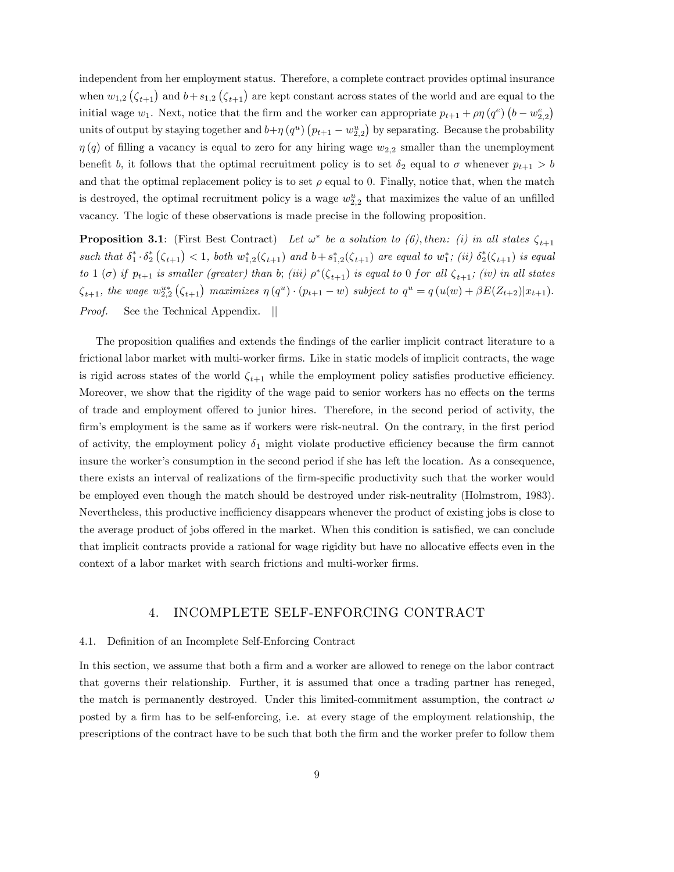independent from her employment status. Therefore, a complete contract provides optimal insurance when  $w_{1,2}(\zeta_{t+1})$  and  $b+s_{1,2}(\zeta_{t+1})$  are kept constant across states of the world and are equal to the initial wage  $w_1$ . Next, notice that the firm and the worker can appropriate  $p_{t+1} + \rho \eta (q^e) (b - w_{2,2}^e)$ units of output by staying together and  $b + \eta (q^u) (p_{t+1} - w_{2,2}^u)$  by separating. Because the probability  $\eta(q)$  of filling a vacancy is equal to zero for any hiring wage  $w_{2,2}$  smaller than the unemployment benefit b, it follows that the optimal recruitment policy is to set  $\delta_2$  equal to  $\sigma$  whenever  $p_{t+1} > b$ and that the optimal replacement policy is to set  $\rho$  equal to 0. Finally, notice that, when the match is destroyed, the optimal recruitment policy is a wage  $w_{2,2}^u$  that maximizes the value of an unfilled vacancy. The logic of these observations is made precise in the following proposition.

**Proposition 3.1**: (First Best Contract) Let  $\omega^*$  be a solution to (6), then: (i) in all states  $\zeta_{t+1}$ such that  $\delta_1^* \cdot \delta_2^* (\zeta_{t+1}) < 1$ , both  $w_{1,2}^* (\zeta_{t+1})$  and  $b + s_{1,2}^* (\zeta_{t+1})$  are equal to  $w_1^*$ ; (ii)  $\delta_2^* (\zeta_{t+1})$  is equal to 1 ( $\sigma$ ) if  $p_{t+1}$  is smaller (greater) than b; (iii)  $\rho^*(\zeta_{t+1})$  is equal to 0 for all  $\zeta_{t+1}$ ; (iv) in all states  $\zeta_{t+1}$ , the wage  $w_{2,2}^{u*}(\zeta_{t+1})$  maximizes  $\eta(q^u) \cdot (p_{t+1} - w)$  subject to  $q^u = q(u(w) + \beta E(Z_{t+2}) | x_{t+1})$ . *Proof.* See the Technical Appendix. ||

The proposition qualifies and extends the findings of the earlier implicit contract literature to a frictional labor market with multi-worker firms. Like in static models of implicit contracts, the wage is rigid across states of the world  $\zeta_{t+1}$  while the employment policy satisfies productive efficiency. Moreover, we show that the rigidity of the wage paid to senior workers has no effects on the terms of trade and employment offered to junior hires. Therefore, in the second period of activity, the firm's employment is the same as if workers were risk-neutral. On the contrary, in the first period of activity, the employment policy  $\delta_1$  might violate productive efficiency because the firm cannot insure the worker's consumption in the second period if she has left the location. As a consequence, there exists an interval of realizations of the firm-specific productivity such that the worker would be employed even though the match should be destroyed under risk-neutrality (Holmstrom, 1983). Nevertheless, this productive inefficiency disappears whenever the product of existing jobs is close to the average product of jobs offered in the market. When this condition is satisfied, we can conclude that implicit contracts provide a rational for wage rigidity but have no allocative effects even in the context of a labor market with search frictions and multi-worker firms.

# 4. INCOMPLETE SELF-ENFORCING CONTRACT

#### 4.1. Definition of an Incomplete Self-Enforcing Contract

In this section, we assume that both a firm and a worker are allowed to renege on the labor contract that governs their relationship. Further, it is assumed that once a trading partner has reneged, the match is permanently destroyed. Under this limited-commitment assumption, the contract  $\omega$ posted by a firm has to be self-enforcing, i.e. at every stage of the employment relationship, the prescriptions of the contract have to be such that both the Örm and the worker prefer to follow them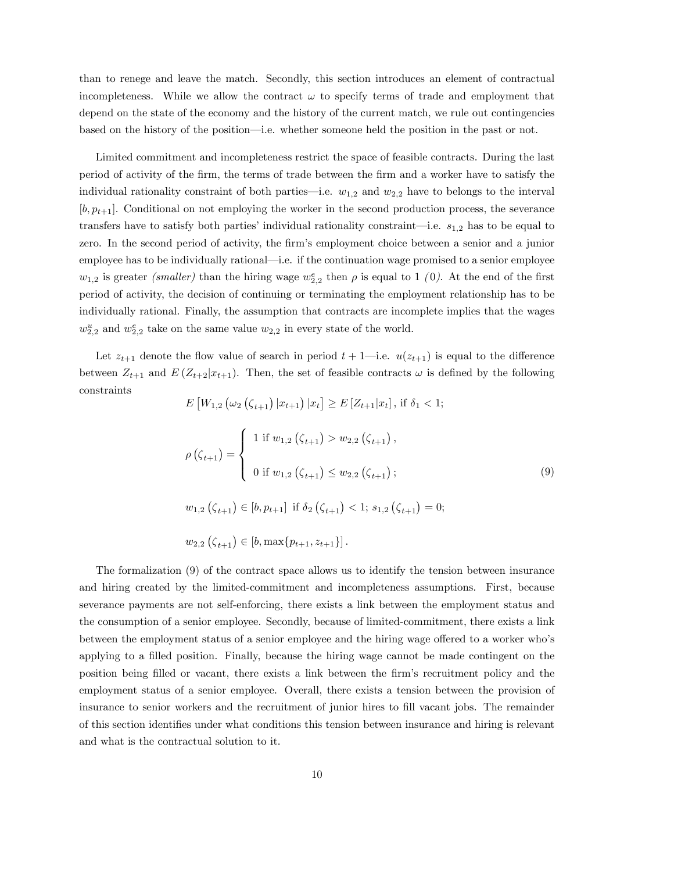than to renege and leave the match. Secondly, this section introduces an element of contractual incompleteness. While we allow the contract  $\omega$  to specify terms of trade and employment that depend on the state of the economy and the history of the current match, we rule out contingencies based on the history of the position—i.e. whether someone held the position in the past or not.

Limited commitment and incompleteness restrict the space of feasible contracts. During the last period of activity of the Örm, the terms of trade between the Örm and a worker have to satisfy the individual rationality constraint of both parties—i.e.  $w_{1,2}$  and  $w_{2,2}$  have to belongs to the interval  $[b, p_{t+1}]$ . Conditional on not employing the worker in the second production process, the severance transfers have to satisfy both parties' individual rationality constraint—i.e.  $s_{1,2}$  has to be equal to zero. In the second period of activity, the firm's employment choice between a senior and a junior employee has to be individually rational—i.e. if the continuation wage promised to a senior employee  $w_{1,2}$  is greater *(smaller)* than the hiring wage  $w_{2,2}^e$  then  $\rho$  is equal to 1 (0). At the end of the first period of activity, the decision of continuing or terminating the employment relationship has to be individually rational. Finally, the assumption that contracts are incomplete implies that the wages  $w_{2,2}^u$  and  $w_{2,2}^e$  take on the same value  $w_{2,2}$  in every state of the world.

Let  $z_{t+1}$  denote the flow value of search in period  $t + 1$ —i.e.  $u(z_{t+1})$  is equal to the difference between  $Z_{t+1}$  and  $E(Z_{t+2}|x_{t+1})$ . Then, the set of feasible contracts  $\omega$  is defined by the following constraints

$$
E\left[W_{1,2}\left(\omega_{2}\left(\zeta_{t+1}\right)|x_{t+1}\right)|x_{t}\right] \geq E\left[Z_{t+1}|x_{t}\right], \text{ if } \delta_{1} < 1; \\
\rho\left(\zeta_{t+1}\right) = \begin{cases} 1 \text{ if } w_{1,2}\left(\zeta_{t+1}\right) > w_{2,2}\left(\zeta_{t+1}\right), \\ 0 \text{ if } w_{1,2}\left(\zeta_{t+1}\right) \leq w_{2,2}\left(\zeta_{t+1}\right); \end{cases} \tag{9}
$$

 $w_{1,2}(\zeta_{t+1}) \in [b, p_{t+1}]$  if  $\delta_2(\zeta_{t+1}) < 1$ ;  $s_{1,2}(\zeta_{t+1}) = 0$ ;

 $w_{2,2}\left(\zeta_{t+1}\right) \in [b, \max\{p_{t+1}, z_{t+1}\}]$ .

The formalization (9) of the contract space allows us to identify the tension between insurance and hiring created by the limited-commitment and incompleteness assumptions. First, because severance payments are not self-enforcing, there exists a link between the employment status and the consumption of a senior employee. Secondly, because of limited-commitment, there exists a link between the employment status of a senior employee and the hiring wage offered to a worker who's applying to a filled position. Finally, because the hiring wage cannot be made contingent on the position being Ölled or vacant, there exists a link between the Örmís recruitment policy and the employment status of a senior employee. Overall, there exists a tension between the provision of insurance to senior workers and the recruitment of junior hires to fill vacant jobs. The remainder of this section identifies under what conditions this tension between insurance and hiring is relevant and what is the contractual solution to it.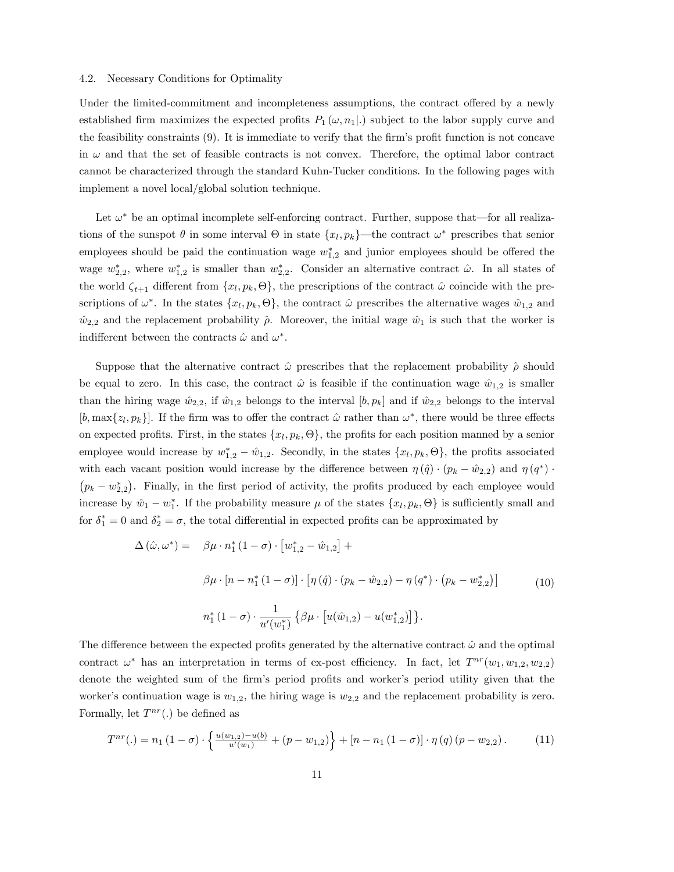### 4.2. Necessary Conditions for Optimality

Under the limited-commitment and incompleteness assumptions, the contract offered by a newly established firm maximizes the expected profits  $P_1(\omega, n_1|.)$  subject to the labor supply curve and the feasibility constraints  $(9)$ . It is immediate to verify that the firm's profit function is not concave in  $\omega$  and that the set of feasible contracts is not convex. Therefore, the optimal labor contract cannot be characterized through the standard Kuhn-Tucker conditions. In the following pages with implement a novel local/global solution technique.

Let  $\omega^*$  be an optimal incomplete self-enforcing contract. Further, suppose that—for all realizations of the sunspot  $\theta$  in some interval  $\Theta$  in state  $\{x_l, p_k\}$ —the contract  $\omega^*$  prescribes that senior employees should be paid the continuation wage  $w_{1,2}^*$  and junior employees should be offered the wage  $w_{2,2}^*$ , where  $w_{1,2}^*$  is smaller than  $w_{2,2}^*$ . Consider an alternative contract  $\hat{\omega}$ . In all states of the world  $\zeta_{t+1}$  different from  $\{x_l, p_k, \Theta\}$ , the prescriptions of the contract  $\hat{\omega}$  coincide with the prescriptions of  $\omega^*$ . In the states  $\{x_l, p_k, \Theta\}$ , the contract  $\hat{\omega}$  prescribes the alternative wages  $\hat{w}_{1,2}$  and  $\hat{w}_{2,2}$  and the replacement probability  $\hat{\rho}$ . Moreover, the initial wage  $\hat{w}_1$  is such that the worker is indifferent between the contracts  $\hat{\omega}$  and  $\omega^*$ .

Suppose that the alternative contract  $\hat{\omega}$  prescribes that the replacement probability  $\hat{\rho}$  should be equal to zero. In this case, the contract  $\hat{\omega}$  is feasible if the continuation wage  $\hat{w}_{1,2}$  is smaller than the hiring wage  $\hat{w}_{2,2}$ , if  $\hat{w}_{1,2}$  belongs to the interval  $[b, p_k]$  and if  $\hat{w}_{2,2}$  belongs to the interval [b, max $\{z_l, p_k\}$ ]. If the firm was to offer the contract  $\hat{\omega}$  rather than  $\omega^*$ , there would be three effects on expected profits. First, in the states  $\{x_l, p_k, \Theta\}$ , the profits for each position manned by a senior employee would increase by  $w_{1,2}^* - \hat{w}_{1,2}$ . Secondly, in the states  $\{x_l, p_k, \Theta\}$ , the profits associated with each vacant position would increase by the difference between  $\eta(\hat{q}) \cdot (p_k - \hat{w}_{2,2})$  and  $\eta(q^*) \cdot$  $(p_k - w_{2,2}^*)$ . Finally, in the first period of activity, the profits produced by each employee would increase by  $\hat{w}_1 - w_1^*$ . If the probability measure  $\mu$  of the states  $\{x_l, p_k, \Theta\}$  is sufficiently small and for  $\delta_1^* = 0$  and  $\delta_2^* = \sigma$ , the total differential in expected profits can be approximated by

$$
\Delta(\hat{\omega}, \omega^*) = \beta \mu \cdot n_1^* (1 - \sigma) \cdot [w_{1,2}^* - \hat{w}_{1,2}] +
$$
  
\n
$$
\beta \mu \cdot [n - n_1^* (1 - \sigma)] \cdot [\eta(\hat{q}) \cdot (p_k - \hat{w}_{2,2}) - \eta(q^*) \cdot (p_k - w_{2,2}^*)]
$$
  
\n
$$
n_1^* (1 - \sigma) \cdot \frac{1}{u'(w_1^*)} \{ \beta \mu \cdot [u(\hat{w}_{1,2}) - u(w_{1,2}^*)] \}.
$$
\n(10)

The difference between the expected profits generated by the alternative contract  $\hat{\omega}$  and the optimal contract  $\omega^*$  has an interpretation in terms of ex-post efficiency. In fact, let  $T^{nr}(w_1, w_{1,2}, w_{2,2})$ denote the weighted sum of the firm's period profits and worker's period utility given that the worker's continuation wage is  $w_{1,2}$ , the hiring wage is  $w_{2,2}$  and the replacement probability is zero. Formally, let  $T^{nr}(.)$  be defined as

$$
T^{nr}(.)=n_1(1-\sigma)\cdot\left\{\frac{u(w_{1,2})-u(b)}{u'(w_1)}+(p-w_{1,2})\right\}+[n-n_1(1-\sigma)]\cdot\eta(q)(p-w_{2,2}).
$$
 (11)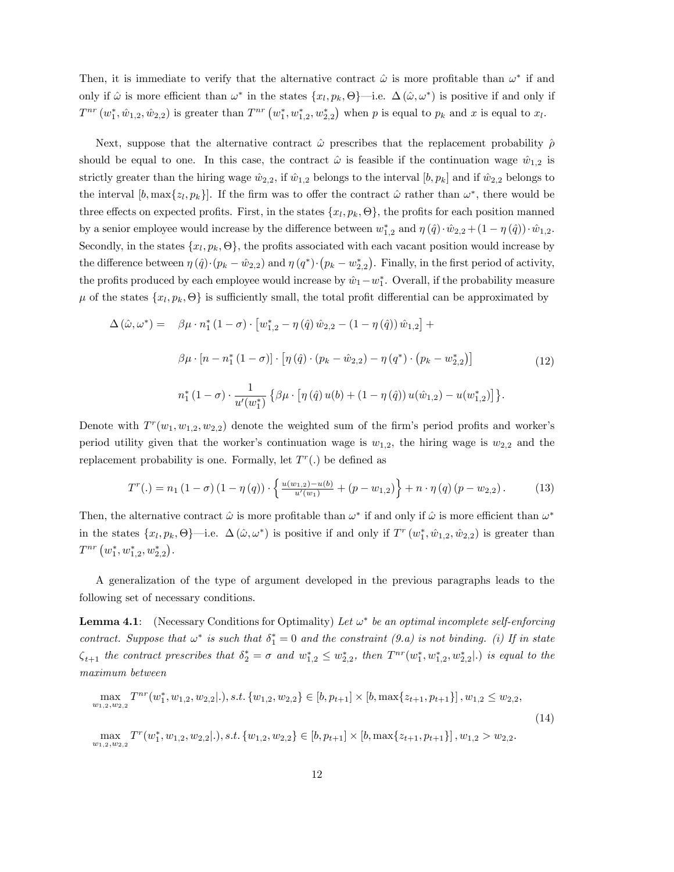Then, it is immediate to verify that the alternative contract  $\hat{\omega}$  is more profitable than  $\omega^*$  if and only if  $\hat{\omega}$  is more efficient than  $\omega^*$  in the states  $\{x_l, p_k, \Theta\}$ —i.e.  $\Delta(\hat{\omega}, \omega^*)$  is positive if and only if  $T^{nr}(w_1^*, w_{1,2}, w_{2,2})$  is greater than  $T^{nr}(w_1^*, w_{1,2}^*, w_{2,2}^*)$  when p is equal to  $p_k$  and x is equal to  $x_l$ .

Next, suppose that the alternative contract  $\hat{\omega}$  prescribes that the replacement probability  $\hat{\rho}$ should be equal to one. In this case, the contract  $\hat{\omega}$  is feasible if the continuation wage  $\hat{w}_{1,2}$  is strictly greater than the hiring wage  $\hat{w}_{2,2}$ , if  $\hat{w}_{1,2}$  belongs to the interval  $[b, p_k]$  and if  $\hat{w}_{2,2}$  belongs to the interval  $[b, \max\{z_l, p_k\}]$ . If the firm was to offer the contract  $\hat{\omega}$  rather than  $\omega^*$ , there would be three effects on expected profits. First, in the states  $\{x_l, p_k, \Theta\}$ , the profits for each position manned by a senior employee would increase by the difference between  $w_{1,2}^*$  and  $\eta(\hat{q})\cdot\hat{w}_{2,2} + (1 - \eta(\hat{q}))\cdot\hat{w}_{1,2}$ . Secondly, in the states  $\{x_l, p_k, \Theta\}$ , the profits associated with each vacant position would increase by the difference between  $\eta(\hat{q})\cdot(p_k - \hat{w}_{2,2})$  and  $\eta(q^*)\cdot(p_k - w^*_{2,2})$ . Finally, in the first period of activity, the profits produced by each employee would increase by  $\hat{w}_1 - w_1^*$ . Overall, if the probability measure  $\mu$  of the states  $\{x_l, p_k, \Theta\}$  is sufficiently small, the total profit differential can be approximated by

$$
\Delta(\hat{\omega}, \omega^*) = \beta \mu \cdot n_1^* (1 - \sigma) \cdot [w_{1,2}^* - \eta(\hat{q}) \hat{w}_{2,2} - (1 - \eta(\hat{q})) \hat{w}_{1,2}] +
$$
  

$$
\beta \mu \cdot [n - n_1^* (1 - \sigma)] \cdot [\eta(\hat{q}) \cdot (p_k - \hat{w}_{2,2}) - \eta(q^*) \cdot (p_k - w_{2,2}^*)]
$$
  

$$
n_1^* (1 - \sigma) \cdot \frac{1}{u'(w_1^*)} \{ \beta \mu \cdot [\eta(\hat{q}) u(b) + (1 - \eta(\hat{q})) u(\hat{w}_{1,2}) - u(w_{1,2}^*)] \}.
$$
 (12)

Denote with  $T^{r}(w_1, w_{1,2}, w_{2,2})$  denote the weighted sum of the firm's period profits and worker's period utility given that the worker's continuation wage is  $w_{1,2}$ , the hiring wage is  $w_{2,2}$  and the replacement probability is one. Formally, let  $T<sup>r</sup>(.)$  be defined as

$$
T^{r}(.)=n_{1}(1-\sigma)(1-\eta(q))\cdot\left\{\frac{u(w_{1,2})-u(b)}{u'(w_{1})}+(p-w_{1,2})\right\}+n\cdot\eta(q)(p-w_{2,2}).
$$
 (13)

Then, the alternative contract  $\hat{\omega}$  is more profitable than  $\omega^*$  if and only if  $\hat{\omega}$  is more efficient than  $\omega^*$ in the states  $\{x_l, p_k, \Theta\}$ —i.e.  $\Delta(\hat{\omega}, \omega^*)$  is positive if and only if  $T^r(w_1^*, \hat{w}_{1,2}, \hat{w}_{2,2})$  is greater than  $T^{nr}\left(w_1^*, w_{1,2}^*, w_{2,2}^*\right).$ 

A generalization of the type of argument developed in the previous paragraphs leads to the following set of necessary conditions.

**Lemma 4.1**: (Necessary Conditions for Optimality) Let  $\omega^*$  be an optimal incomplete self-enforcing contract. Suppose that  $\omega^*$  is such that  $\delta_1^* = 0$  and the constraint  $(9.a)$  is not binding. (i) If in state  $\zeta_{t+1}$  the contract prescribes that  $\delta_2^* = \sigma$  and  $w_{1,2}^* \leq w_{2,2}^*$ , then  $T^{nr}(w_1^*, w_{1,2}^*, w_{2,2}^*|)$  is equal to the maximum between

$$
\max_{w_{1,2}, w_{2,2}} T^{nr}(w_1^*, w_{1,2}, w_{2,2}|.), s.t. \{w_{1,2}, w_{2,2}\} \in [b, p_{t+1}] \times [b, \max\{z_{t+1}, p_{t+1}\}], w_{1,2} \le w_{2,2},
$$
\n
$$
\max_{w_{1,2}, w_{2,2}} T^{r}(w_1^*, w_{1,2}, w_{2,2}|.), s.t. \{w_{1,2}, w_{2,2}\} \in [b, p_{t+1}] \times [b, \max\{z_{t+1}, p_{t+1}\}], w_{1,2} > w_{2,2}.
$$
\n
$$
(14)
$$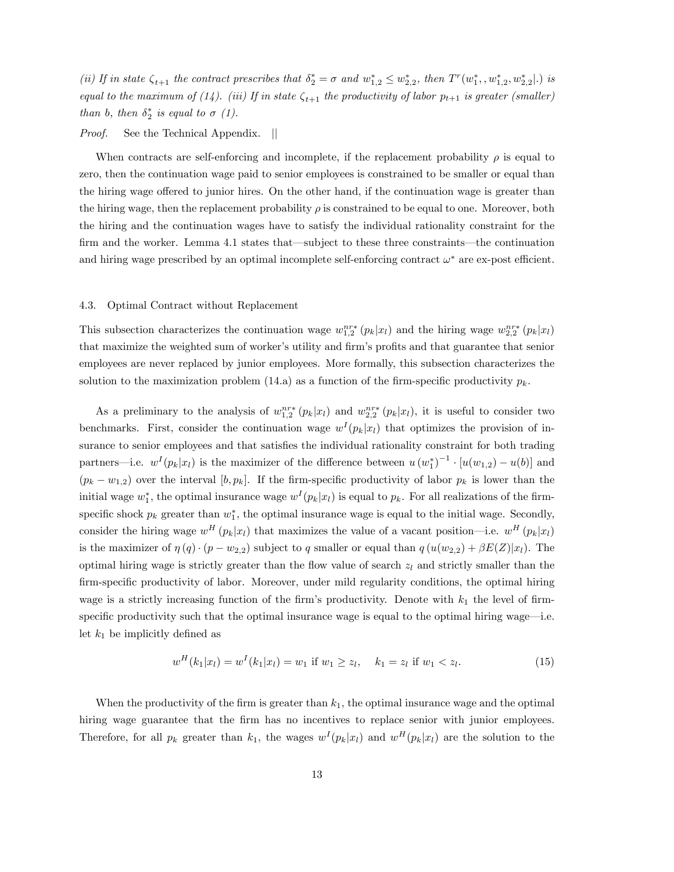(ii) If in state  $\zeta_{t+1}$  the contract prescribes that  $\delta_2^* = \sigma$  and  $w_{1,2}^* \leq w_{2,2}^*$ , then  $T^r(w_1^*, w_{1,2}^*, w_{2,2}^*|.)$  is equal to the maximum of (14). (iii) If in state  $\zeta_{t+1}$  the productivity of labor  $p_{t+1}$  is greater (smaller) than b, then  $\delta_2^*$  is equal to  $\sigma$  (1).

# *Proof.* See the Technical Appendix. ||

When contracts are self-enforcing and incomplete, if the replacement probability  $\rho$  is equal to zero, then the continuation wage paid to senior employees is constrained to be smaller or equal than the hiring wage offered to junior hires. On the other hand, if the continuation wage is greater than the hiring wage, then the replacement probability  $\rho$  is constrained to be equal to one. Moreover, both the hiring and the continuation wages have to satisfy the individual rationality constraint for the firm and the worker. Lemma 4.1 states that—subject to these three constraints—the continuation and hiring wage prescribed by an optimal incomplete self-enforcing contract  $\omega^*$  are ex-post efficient.

#### 4.3. Optimal Contract without Replacement

This subsection characterizes the continuation wage  $w_{1,2}^{nr*}(p_k|x_l)$  and the hiring wage  $w_{2,2}^{nr*}(p_k|x_l)$ that maximize the weighted sum of worker's utility and firm's profits and that guarantee that senior employees are never replaced by junior employees. More formally, this subsection characterizes the solution to the maximization problem (14.a) as a function of the firm-specific productivity  $p_k$ .

As a preliminary to the analysis of  $w_{1,2}^{nr*}(p_k|x_l)$  and  $w_{2,2}^{nr*}(p_k|x_l)$ , it is useful to consider two benchmarks. First, consider the continuation wage  $w^{I}(p_{k}|x_{l})$  that optimizes the provision of insurance to senior employees and that satisfies the individual rationality constraint for both trading partners—i.e.  $w^{I}(p_{k}|x_{l})$  is the maximizer of the difference between  $u(w_{1}^{*})^{-1} \cdot [u(w_{1,2}) - u(b)]$  and  $(p_k - w_{1,2})$  over the interval  $[b, p_k]$ . If the firm-specific productivity of labor  $p_k$  is lower than the initial wage  $w_1^*$ , the optimal insurance wage  $w^I(p_k|x_l)$  is equal to  $p_k$ . For all realizations of the firmspecific shock  $p_k$  greater than  $w_1^*$ , the optimal insurance wage is equal to the initial wage. Secondly, consider the hiring wage  $w^H(p_k|x_l)$  that maximizes the value of a vacant position—i.e.  $w^H(p_k|x_l)$ is the maximizer of  $\eta(q) \cdot (p - w_{2,2})$  subject to q smaller or equal than  $q(u(w_{2,2}) + \beta E(Z)|x_l)$ . The optimal hiring wage is strictly greater than the flow value of search  $z<sub>l</sub>$  and strictly smaller than the firm-specific productivity of labor. Moreover, under mild regularity conditions, the optimal hiring wage is a strictly increasing function of the firm's productivity. Denote with  $k_1$  the level of firmspecific productivity such that the optimal insurance wage is equal to the optimal hiring wage $-$ i.e. let  $k_1$  be implicitly defined as

$$
w^{H}(k_1|x_l) = w^{I}(k_1|x_l) = w_1 \text{ if } w_1 \ge z_l, \quad k_1 = z_l \text{ if } w_1 < z_l. \tag{15}
$$

When the productivity of the firm is greater than  $k_1$ , the optimal insurance wage and the optimal hiring wage guarantee that the firm has no incentives to replace senior with junior employees. Therefore, for all  $p_k$  greater than  $k_1$ , the wages  $w^I(p_k|x_l)$  and  $w^H(p_k|x_l)$  are the solution to the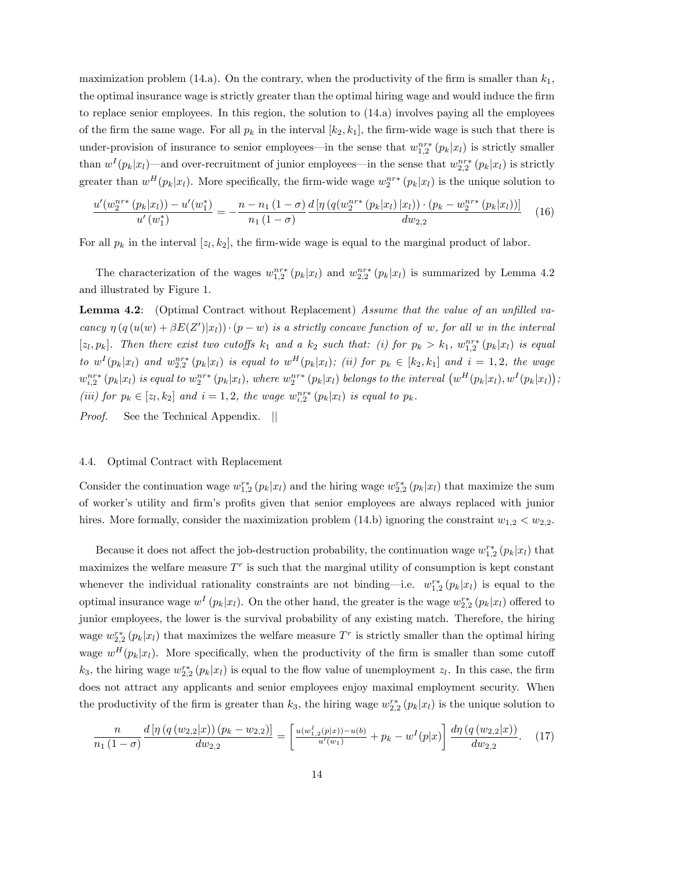maximization problem (14.a). On the contrary, when the productivity of the firm is smaller than  $k_1$ , the optimal insurance wage is strictly greater than the optimal hiring wage and would induce the firm to replace senior employees. In this region, the solution to (14.a) involves paying all the employees of the firm the same wage. For all  $p_k$  in the interval  $[k_2, k_1]$ , the firm-wide wage is such that there is under-provision of insurance to senior employees—in the sense that  $w_{1,2}^{nr*}(p_k|x_l)$  is strictly smaller than  $w^{I}(p_{k}|x_{l})$ —and over-recruitment of junior employees—in the sense that  $w_{2,2}^{nr*}(p_{k}|x_{l})$  is strictly greater than  $w^H(p_k|x_l)$ . More specifically, the firm-wide wage  $w_2^{nr*}(p_k|x_l)$  is the unique solution to

$$
\frac{u'(w_2^{n^{r*}}(p_k|x_l)) - u'(w_1^*)}{u'(w_1^*)} = -\frac{n - n_1(1 - \sigma)}{n_1(1 - \sigma)} \frac{d\left[\eta\left(q(w_2^{n^{r*}}(p_k|x_l)|x_l)\right) \cdot (p_k - w_2^{n^{r*}}(p_k|x_l))\right]}{dw_{2,2}} \tag{16}
$$

For all  $p_k$  in the interval  $[z_l, k_2]$ , the firm-wide wage is equal to the marginal product of labor.

The characterization of the wages  $w_{1,2}^{nr*}(p_k|x_l)$  and  $w_{2,2}^{nr*}(p_k|x_l)$  is summarized by Lemma 4.2 and illustrated by Figure 1.

**Lemma 4.2:** (Optimal Contract without Replacement) Assume that the value of an unfilled vacancy  $\eta(q(u(w) + \beta E(Z')|x_l)) \cdot (p - w)$  is a strictly concave function of w, for all w in the interval [ $z_l, p_k$ ]. Then there exist two cutoffs  $k_1$  and a  $k_2$  such that: (i) for  $p_k > k_1$ ,  $w_{1,2}^{nr*}(p_k|x_l)$  is equal to  $w^{I}(p_{k}|x_{l})$  and  $w_{2,2}^{nr*}(p_{k}|x_{l})$  is equal to  $w^{H}(p_{k}|x_{l})$ ; (ii) for  $p_{k} \in [k_{2},k_{1}]$  and  $i = 1,2$ , the wage  $w_{i,2}^{nr*}(p_k|x_l)$  is equal to  $w_2^{nr*}(p_k|x_l)$ , where  $w_2^{nr*}(p_k|x_l)$  belongs to the interval  $(w^H(p_k|x_l), w^I(p_k|x_l))$ ; (iii) for  $p_k \in [z_l, k_2]$  and  $i = 1, 2$ , the wage  $w_{i,2}^{nr*}(p_k|x_l)$  is equal to  $p_k$ . Proof. See the Technical Appendix. ||

#### 4.4. Optimal Contract with Replacement

Consider the continuation wage  $w_{1,2}^{r*}(p_k|x_l)$  and the hiring wage  $w_{2,2}^{r*}(p_k|x_l)$  that maximize the sum of worker's utility and firm's profits given that senior employees are always replaced with junior hires. More formally, consider the maximization problem (14.b) ignoring the constraint  $w_{1,2} < w_{2,2}$ .

Because it does not affect the job-destruction probability, the continuation wage  $w_{1,2}^{r*}(p_k|x_l)$  that maximizes the welfare measure  $T<sup>r</sup>$  is such that the marginal utility of consumption is kept constant whenever the individual rationality constraints are not binding—i.e.  $w_{1,2}^{r*}(p_k|x_l)$  is equal to the optimal insurance wage  $w^I(p_k|x_l)$ . On the other hand, the greater is the wage  $w_{2,2}^{r*}(p_k|x_l)$  offered to junior employees, the lower is the survival probability of any existing match. Therefore, the hiring wage  $w_{2,2}^{r*}(p_k|x_l)$  that maximizes the welfare measure  $T^r$  is strictly smaller than the optimal hiring wage  $w^H(p_k|x_l)$ . More specifically, when the productivity of the firm is smaller than some cutoff  $k_3$ , the hiring wage  $w_{2,2}^{r*}(p_k|x_l)$  is equal to the flow value of unemployment  $z_l$ . In this case, the firm does not attract any applicants and senior employees enjoy maximal employment security. When the productivity of the firm is greater than  $k_3$ , the hiring wage  $w_{2,2}^{r*}(p_k|x_l)$  is the unique solution to

$$
\frac{n}{n_1(1-\sigma)}\frac{d\left[\eta\left(q\left(w_{2,2}|x\right)\right)\left(p_k-w_{2,2}\right)\right]}{dw_{2,2}} = \left[\frac{u(w_{1,2}^I(p|x))-u(b)}{u'(w_1)} + p_k - w^I(p|x)\right]\frac{d\eta\left(q\left(w_{2,2}|x\right)\right)}{dw_{2,2}}.\tag{17}
$$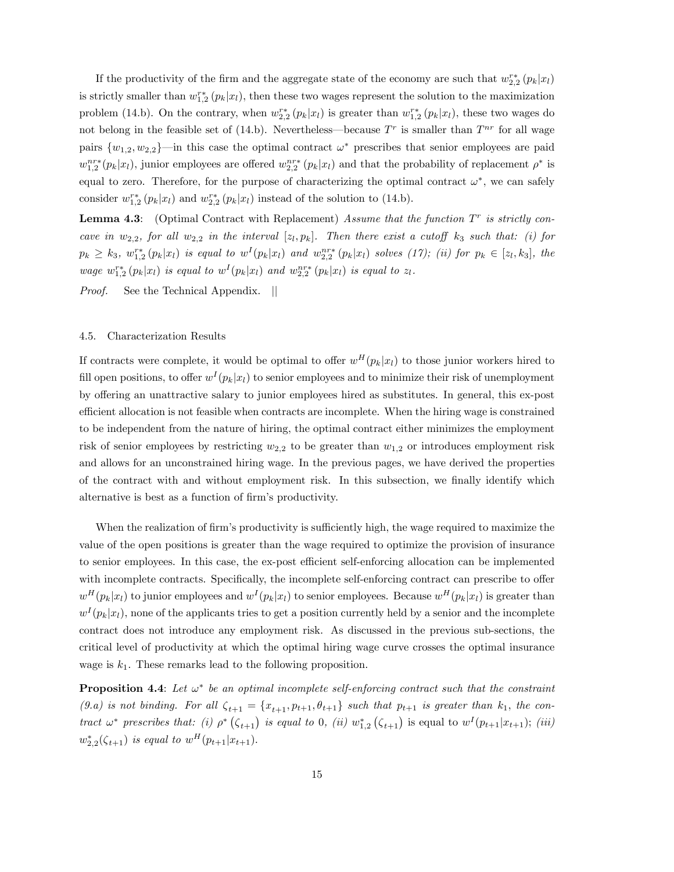If the productivity of the firm and the aggregate state of the economy are such that  $w_{2,2}^{r*}(p_k|x_l)$ is strictly smaller than  $w_{1,2}^{r*}(p_k|x_l)$ , then these two wages represent the solution to the maximization problem (14.b). On the contrary, when  $w_{2,2}^{r*}(p_k|x_l)$  is greater than  $w_{1,2}^{r*}(p_k|x_l)$ , these two wages do not belong in the feasible set of (14.b). Nevertheless—because  $T<sup>r</sup>$  is smaller than  $T<sup>nr</sup>$  for all wage pairs  $\{w_{1,2}, w_{2,2}\}$ —in this case the optimal contract  $\omega^*$  prescribes that senior employees are paid  $w_{1,2}^{nr*}(p_k|x_l)$ , junior employees are offered  $w_{2,2}^{nr*}(p_k|x_l)$  and that the probability of replacement  $\rho^*$  is equal to zero. Therefore, for the purpose of characterizing the optimal contract  $\omega^*$ , we can safely consider  $w_{1,2}^{r*}(p_k|x_l)$  and  $w_{2,2}^{r*}(p_k|x_l)$  instead of the solution to (14.b).

**Lemma 4.3**: (Optimal Contract with Replacement) Assume that the function  $T^r$  is strictly concave in  $w_{2,2}$ , for all  $w_{2,2}$  in the interval  $[z_l, p_k]$ . Then there exist a cutoff  $k_3$  such that: (i) for  $p_k \geq k_3$ ,  $w_{1,2}^{r*} (p_k|x_l)$  is equal to  $w^I(p_k|x_l)$  and  $w_{2,2}^{nr*} (p_k|x_l)$  solves (17); (ii) for  $p_k \in [z_l, k_3]$ , the wage  $w_{1,2}^{r*}(p_k|x_l)$  is equal to  $w^I(p_k|x_l)$  and  $w_{2,2}^{nr*}(p_k|x_l)$  is equal to  $z_l$ .

Proof. See the Technical Appendix. ||

#### 4.5. Characterization Results

If contracts were complete, it would be optimal to offer  $w^H(p_k|x_l)$  to those junior workers hired to fill open positions, to offer  $w^{I}(p_{k}|x_{l})$  to senior employees and to minimize their risk of unemployment by offering an unattractive salary to junior employees hired as substitutes. In general, this ex-post efficient allocation is not feasible when contracts are incomplete. When the hiring wage is constrained to be independent from the nature of hiring, the optimal contract either minimizes the employment risk of senior employees by restricting  $w_{2,2}$  to be greater than  $w_{1,2}$  or introduces employment risk and allows for an unconstrained hiring wage. In the previous pages, we have derived the properties of the contract with and without employment risk. In this subsection, we finally identify which alternative is best as a function of firm's productivity.

When the realization of firm's productivity is sufficiently high, the wage required to maximize the value of the open positions is greater than the wage required to optimize the provision of insurance to senior employees. In this case, the ex-post efficient self-enforcing allocation can be implemented with incomplete contracts. Specifically, the incomplete self-enforcing contract can prescribe to offer  $w^H(p_k|x_l)$  to junior employees and  $w^I(p_k|x_l)$  to senior employees. Because  $w^H(p_k|x_l)$  is greater than  $w^{I}(p_{k}|x_{l})$ , none of the applicants tries to get a position currently held by a senior and the incomplete contract does not introduce any employment risk. As discussed in the previous sub-sections, the critical level of productivity at which the optimal hiring wage curve crosses the optimal insurance wage is  $k_1$ . These remarks lead to the following proposition.

**Proposition 4.4**: Let  $\omega^*$  be an optimal incomplete self-enforcing contract such that the constraint (9.a) is not binding. For all  $\zeta_{t+1} = \{x_{t+1}, p_{t+1}, \theta_{t+1}\}$  such that  $p_{t+1}$  is greater than  $k_1$ , the contract  $\omega^*$  prescribes that: (i)  $\rho^*$   $(\zeta_{t+1})$  is equal to 0, (ii)  $w^*_{1,2}$   $(\zeta_{t+1})$  is equal to  $w^I(p_{t+1}|x_{t+1});$  (iii)  $w_{2,2}^{*}(\zeta_{t+1})$  is equal to  $w^{H}(p_{t+1}|x_{t+1}).$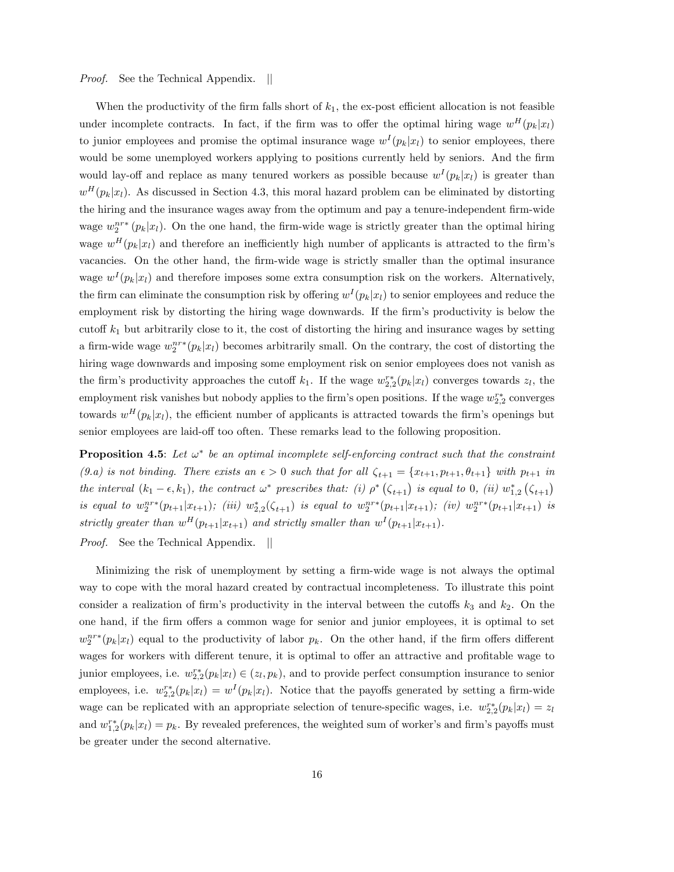# *Proof.* See the Technical Appendix. ||

When the productivity of the firm falls short of  $k_1$ , the ex-post efficient allocation is not feasible under incomplete contracts. In fact, if the firm was to offer the optimal hiring wage  $w^H(p_k|x_l)$ to junior employees and promise the optimal insurance wage  $w^{I}(p_{k}|x_{l})$  to senior employees, there would be some unemployed workers applying to positions currently held by seniors. And the firm would lay-off and replace as many tenured workers as possible because  $w^{I}(p_{k}|x_{l})$  is greater than  $w^H(p_k|x_l)$ . As discussed in Section 4.3, this moral hazard problem can be eliminated by distorting the hiring and the insurance wages away from the optimum and pay a tenure-independent firm-wide wage  $w_2^{nr*}(p_k|x_l)$ . On the one hand, the firm-wide wage is strictly greater than the optimal hiring wage  $w^H(p_k|x_l)$  and therefore an inefficiently high number of applicants is attracted to the firm's vacancies. On the other hand, the firm-wide wage is strictly smaller than the optimal insurance wage  $w^{I}(p_{k}|x_{l})$  and therefore imposes some extra consumption risk on the workers. Alternatively, the firm can eliminate the consumption risk by offering  $w^{I}(p_{k}|x_{l})$  to senior employees and reduce the employment risk by distorting the hiring wage downwards. If the firm's productivity is below the cutoff  $k_1$  but arbitrarily close to it, the cost of distorting the hiring and insurance wages by setting a firm-wide wage  $w_2^{nr*}(p_k|x_l)$  becomes arbitrarily small. On the contrary, the cost of distorting the hiring wage downwards and imposing some employment risk on senior employees does not vanish as the firm's productivity approaches the cutoff  $k_1$ . If the wage  $w_{2,2}^{r*}(p_k|x_l)$  converges towards  $z_l$ , the employment risk vanishes but nobody applies to the firm's open positions. If the wage  $w_{2,2}^{r*}$  converges towards  $w^H(p_k|x_l)$ , the efficient number of applicants is attracted towards the firm's openings but senior employees are laid-off too often. These remarks lead to the following proposition.

**Proposition 4.5**: Let  $\omega^*$  be an optimal incomplete self-enforcing contract such that the constraint (9.a) is not binding. There exists an  $\epsilon > 0$  such that for all  $\zeta_{t+1} = \{x_{t+1}, p_{t+1}, \theta_{t+1}\}$  with  $p_{t+1}$  in the interval  $(k_1 - \epsilon, k_1)$ , the contract  $\omega^*$  prescribes that: (i)  $\rho^* (\zeta_{t+1})$  is equal to 0, (ii)  $w_{1,2}^* (\zeta_{t+1})$ is equal to  $w_2^{nr*}(p_{t+1}|x_{t+1})$ ; (iii)  $w_{2,2}^*(\zeta_{t+1})$  is equal to  $w_2^{nr*}(p_{t+1}|x_{t+1})$ ; (iv)  $w_2^{nr*}(p_{t+1}|x_{t+1})$  is strictly greater than  $w^{H}(p_{t+1}|x_{t+1})$  and strictly smaller than  $w^{I}(p_{t+1}|x_{t+1})$ .

Proof. See the Technical Appendix. ||

Minimizing the risk of unemployment by setting a firm-wide wage is not always the optimal way to cope with the moral hazard created by contractual incompleteness. To illustrate this point consider a realization of firm's productivity in the interval between the cutoffs  $k_3$  and  $k_2$ . On the one hand, if the firm offers a common wage for senior and junior employees, it is optimal to set  $w_2^{nr*}(p_k|x_l)$  equal to the productivity of labor  $p_k$ . On the other hand, if the firm offers different wages for workers with different tenure, it is optimal to offer an attractive and profitable wage to junior employees, i.e.  $w_{2,2}^{r*}(p_k|x_l) \in (z_l, p_k)$ , and to provide perfect consumption insurance to senior employees, i.e.  $w_{2,2}^{r*}(p_k|x_l) = w^I(p_k|x_l)$ . Notice that the payoffs generated by setting a firm-wide wage can be replicated with an appropriate selection of tenure-specific wages, i.e.  $w_{2,2}^{r*}(p_k|x_l) = z_l$ and  $w_{1,2}^{r*}(p_k|x_l)=p_k$ . By revealed preferences, the weighted sum of worker's and firm's payoffs must be greater under the second alternative.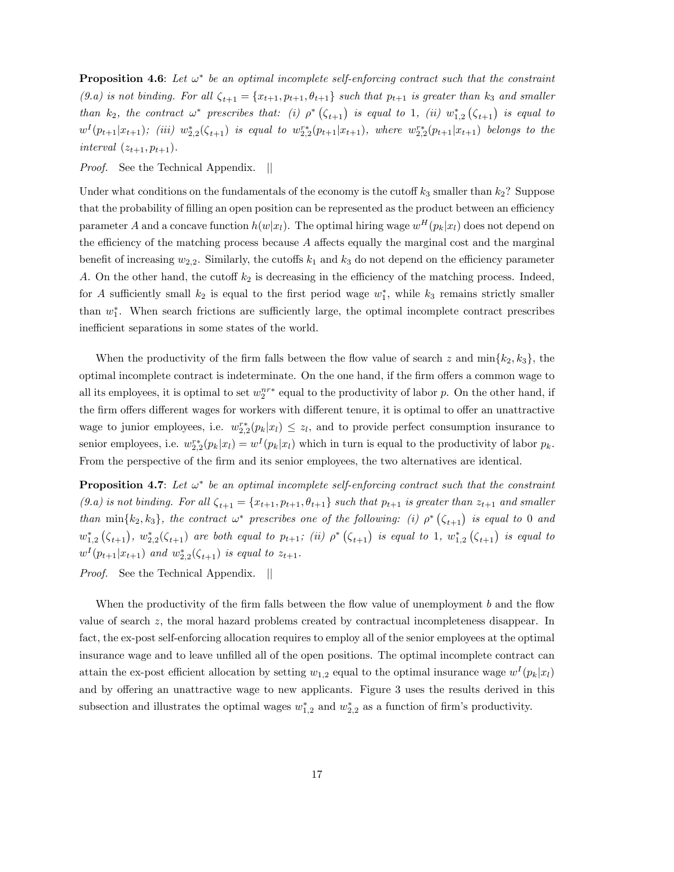**Proposition 4.6**: Let  $\omega^*$  be an optimal incomplete self-enforcing contract such that the constraint (9.a) is not binding. For all  $\zeta_{t+1} = \{x_{t+1}, p_{t+1}, \theta_{t+1}\}$  such that  $p_{t+1}$  is greater than  $k_3$  and smaller than  $k_2$ , the contract  $\omega^*$  prescribes that: (i)  $\rho^*$  ( $\zeta_{t+1}$ ) is equal to 1, (ii)  $w_{1,2}^*$  ( $\zeta_{t+1}$ ) is equal to  $w^I(p_{t+1}|x_{t+1})$ ; (iii)  $w_{2,2}^*(\zeta_{t+1})$  is equal to  $w_{2,2}^{r*}(p_{t+1}|x_{t+1})$ , where  $w_{2,2}^{r*}(p_{t+1}|x_{t+1})$  belongs to the interval  $(z_{t+1}, p_{t+1}).$ 

*Proof.* See the Technical Appendix. ||

Under what conditions on the fundamentals of the economy is the cutoff  $k_3$  smaller than  $k_2$ ? Suppose that the probability of filling an open position can be represented as the product between an efficiency parameter A and a concave function  $h(w|x_l)$ . The optimal hiring wage  $w^H(p_k|x_l)$  does not depend on the efficiency of the matching process because  $A$  affects equally the marginal cost and the marginal benefit of increasing  $w_{2,2}$ . Similarly, the cutoffs  $k_1$  and  $k_3$  do not depend on the efficiency parameter A. On the other hand, the cutoff  $k_2$  is decreasing in the efficiency of the matching process. Indeed, for A sufficiently small  $k_2$  is equal to the first period wage  $w_1^*$ , while  $k_3$  remains strictly smaller than  $w_1^*$ . When search frictions are sufficiently large, the optimal incomplete contract prescribes inefficient separations in some states of the world.

When the productivity of the firm falls between the flow value of search z and  $\min\{k_2, k_3\}$ , the optimal incomplete contract is indeterminate. On the one hand, if the firm offers a common wage to all its employees, it is optimal to set  $w_2^{nr*}$  equal to the productivity of labor p. On the other hand, if the firm offers different wages for workers with different tenure, it is optimal to offer an unattractive wage to junior employees, i.e.  $w_{2,2}^{r*}(p_k|x_l) \leq z_l$ , and to provide perfect consumption insurance to senior employees, i.e.  $w_{2,2}^{r*}(p_k|x_l) = w^I(p_k|x_l)$  which in turn is equal to the productivity of labor  $p_k$ . From the perspective of the firm and its senior employees, the two alternatives are identical.

**Proposition 4.7**: Let  $\omega^*$  be an optimal incomplete self-enforcing contract such that the constraint (9.a) is not binding. For all  $\zeta_{t+1} = \{x_{t+1}, p_{t+1}, \theta_{t+1}\}$  such that  $p_{t+1}$  is greater than  $z_{t+1}$  and smaller than  $\min\{k_2, k_3\}$ , the contract  $\omega^*$  prescribes one of the following: (i)  $\rho^*$  ( $\zeta_{t+1}$ ) is equal to 0 and  $w_{1,2}^*\left(\zeta_{t+1}\right)$ ,  $w_{2,2}^*(\zeta_{t+1})$  are both equal to  $p_{t+1}$ ; (ii)  $\rho^*\left(\zeta_{t+1}\right)$  is equal to 1,  $w_{1,2}^*\left(\zeta_{t+1}\right)$  is equal to  $w^{I}(p_{t+1}|x_{t+1})$  and  $w_{2,2}^{*}(\zeta_{t+1})$  is equal to  $z_{t+1}$ .

Proof. See the Technical Appendix. ||

When the productivity of the firm falls between the flow value of unemployment  $b$  and the flow value of search z, the moral hazard problems created by contractual incompleteness disappear. In fact, the ex-post self-enforcing allocation requires to employ all of the senior employees at the optimal insurance wage and to leave unfilled all of the open positions. The optimal incomplete contract can attain the ex-post efficient allocation by setting  $w_{1,2}$  equal to the optimal insurance wage  $w^{I}(p_{k}|x_{l})$ and by offering an unattractive wage to new applicants. Figure 3 uses the results derived in this subsection and illustrates the optimal wages  $w_{1,2}^*$  and  $w_{2,2}^*$  as a function of firm's productivity.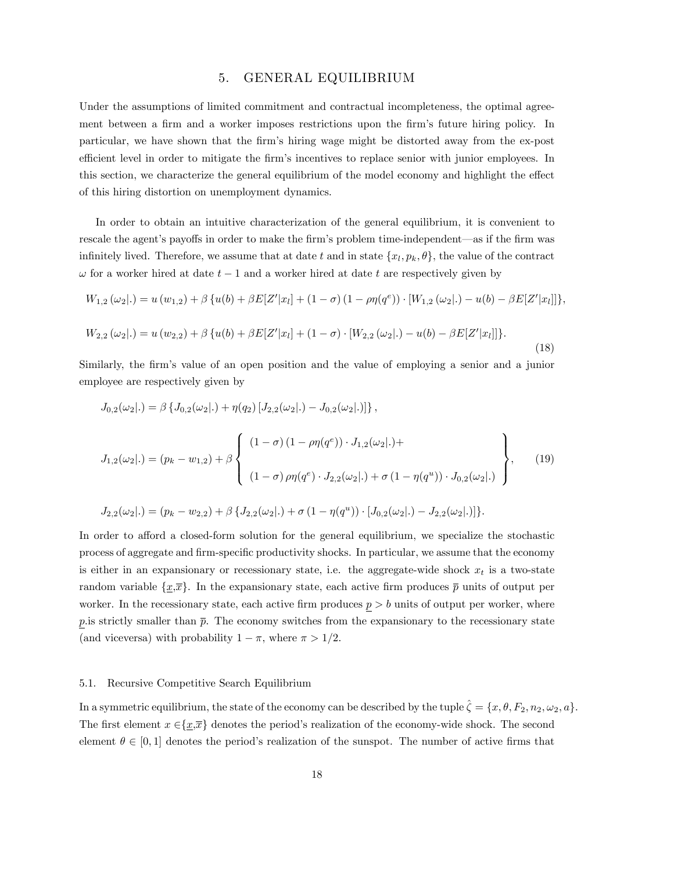# 5. GENERAL EQUILIBRIUM

Under the assumptions of limited commitment and contractual incompleteness, the optimal agreement between a firm and a worker imposes restrictions upon the firm's future hiring policy. In particular, we have shown that the Örmís hiring wage might be distorted away from the ex-post efficient level in order to mitigate the firm's incentives to replace senior with junior employees. In this section, we characterize the general equilibrium of the model economy and highlight the effect of this hiring distortion on unemployment dynamics.

In order to obtain an intuitive characterization of the general equilibrium, it is convenient to rescale the agent's payoffs in order to make the firm's problem time-independent—as if the firm was infinitely lived. Therefore, we assume that at date t and in state  $\{x_l, p_k, \theta\}$ , the value of the contract  $\omega$  for a worker hired at date  $t-1$  and a worker hired at date t are respectively given by

$$
W_{1,2}(\omega_2|.) = u(w_{1,2}) + \beta \{u(b) + \beta E[Z'|x_l] + (1 - \sigma)(1 - \rho \eta(q^e)) \cdot [W_{1,2}(\omega_2|.) - u(b) - \beta E[Z'|x_l]]\},\
$$
  

$$
W_{2,2}(\omega_2|.) = u(w_{2,2}) + \beta \{u(b) + \beta E[Z'|x_l] + (1 - \sigma) \cdot [W_{2,2}(\omega_2|.) - u(b) - \beta E[Z'|x_l]]\}.
$$

(18)

Similarly, the firm's value of an open position and the value of employing a senior and a junior employee are respectively given by

$$
J_{0,2}(\omega_2|.) = \beta \{ J_{0,2}(\omega_2|.) + \eta(q_2) [J_{2,2}(\omega_2|.) - J_{0,2}(\omega_2|.)] \},
$$
  
\n
$$
J_{1,2}(\omega_2|.) = (p_k - w_{1,2}) + \beta \left\{ \begin{array}{c} (1 - \sigma) (1 - \rho \eta(q^e)) \cdot J_{1,2}(\omega_2|.) + \\ \\ (1 - \sigma) \rho \eta(q^e) \cdot J_{2,2}(\omega_2|.) + \sigma (1 - \eta(q^u)) \cdot J_{0,2}(\omega_2|.) \end{array} \right\},
$$
\n(19)

$$
J_{2,2}(\omega_2|.) = (p_k - w_{2,2}) + \beta \{ J_{2,2}(\omega_2|.) + \sigma (1 - \eta(q^u)) \cdot [J_{0,2}(\omega_2|.) - J_{2,2}(\omega_2|.)] \}.
$$

In order to afford a closed-form solution for the general equilibrium, we specialize the stochastic process of aggregate and firm-specific productivity shocks. In particular, we assume that the economy is either in an expansionary or recessionary state, i.e. the aggregate-wide shock  $x_t$  is a two-state random variable  $\{x,\bar{x}\}$ . In the expansionary state, each active firm produces  $\bar{p}$  units of output per worker. In the recessionary state, each active firm produces  $p > b$  units of output per worker, where p. is strictly smaller than  $\bar{p}$ . The economy switches from the expansionary to the recessionary state (and viceversa) with probability  $1 - \pi$ , where  $\pi > 1/2$ .

### 5.1. Recursive Competitive Search Equilibrium

In a symmetric equilibrium, the state of the economy can be described by the tuple  $\hat{\zeta} = \{x, \theta, F_2, n_2, \omega_2, a\}.$ The first element  $x \in {\{\underline{x},\overline{x}\}}$  denotes the period's realization of the economy-wide shock. The second element  $\theta \in [0, 1]$  denotes the period's realization of the sunspot. The number of active firms that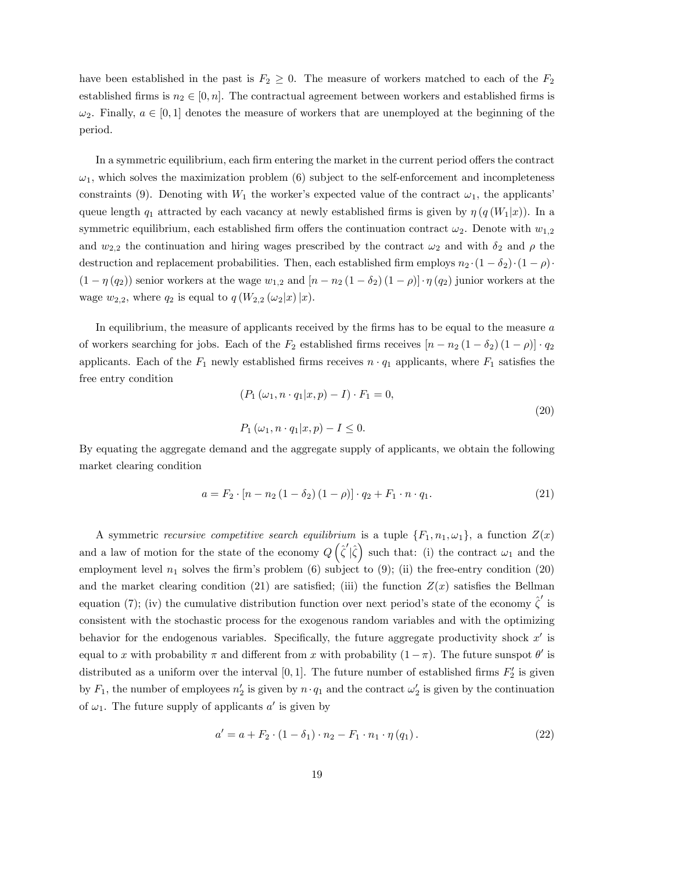have been established in the past is  $F_2 \geq 0$ . The measure of workers matched to each of the  $F_2$ established firms is  $n_2 \in [0, n]$ . The contractual agreement between workers and established firms is  $\omega_2$ . Finally,  $a \in [0, 1]$  denotes the measure of workers that are unemployed at the beginning of the period.

In a symmetric equilibrium, each firm entering the market in the current period offers the contract  $\omega_1$ , which solves the maximization problem (6) subject to the self-enforcement and incompleteness constraints (9). Denoting with  $W_1$  the worker's expected value of the contract  $\omega_1$ , the applicants' queue length  $q_1$  attracted by each vacancy at newly established firms is given by  $\eta (q (W_1|x))$ . In a symmetric equilibrium, each established firm offers the continuation contract  $\omega_2$ . Denote with  $w_{1,2}$ and  $w_{2,2}$  the continuation and hiring wages prescribed by the contract  $\omega_2$  and with  $\delta_2$  and  $\rho$  the destruction and replacement probabilities. Then, each established firm employs  $n_2 \cdot (1 - \delta_2) \cdot (1 - \rho)$ .  $(1 - \eta(q_2))$  senior workers at the wage  $w_{1,2}$  and  $[n - n_2(1 - \delta_2)(1 - \rho)] \cdot \eta(q_2)$  junior workers at the wage  $w_{2,2}$ , where  $q_2$  is equal to  $q(W_{2,2}(\omega_2|x)|x)$ .

In equilibrium, the measure of applicants received by the firms has to be equal to the measure  $a$ of workers searching for jobs. Each of the  $F_2$  established firms receives  $[n - n_2 (1 - \delta_2) (1 - \rho)] \cdot q_2$ applicants. Each of the  $F_1$  newly established firms receives  $n \cdot q_1$  applicants, where  $F_1$  satisfies the free entry condition

$$
(P_1(\omega_1, n \cdot q_1 | x, p) - I) \cdot F_1 = 0,
$$
  
\n
$$
P_1(\omega_1, n \cdot q_1 | x, p) - I \le 0.
$$
\n(20)

By equating the aggregate demand and the aggregate supply of applicants, we obtain the following market clearing condition

$$
a = F_2 \cdot [n - n_2 (1 - \delta_2) (1 - \rho)] \cdot q_2 + F_1 \cdot n \cdot q_1.
$$
 (21)

A symmetric recursive competitive search equilibrium is a tuple  $\{F_1, n_1, \omega_1\}$ , a function  $Z(x)$ and a law of motion for the state of the economy  $Q(\hat{\zeta}'|\hat{\zeta})$  such that: (i) the contract  $\omega_1$  and the employment level  $n_1$  solves the firm's problem (6) subject to (9); (ii) the free-entry condition (20) and the market clearing condition (21) are satisfied; (iii) the function  $Z(x)$  satisfies the Bellman equation (7); (iv) the cumulative distribution function over next period's state of the economy  $\hat{\zeta}'$  is consistent with the stochastic process for the exogenous random variables and with the optimizing behavior for the endogenous variables. Specifically, the future aggregate productivity shock  $x'$  is equal to x with probability  $\pi$  and different from x with probability  $(1 - \pi)$ . The future sunspot  $\theta'$  is distributed as a uniform over the interval [0, 1]. The future number of established firms  $F_2'$  is given by  $F_1$ , the number of employees  $n'_2$  is given by  $n \cdot q_1$  and the contract  $\omega'_2$  is given by the continuation of  $\omega_1$ . The future supply of applicants  $a'$  is given by

$$
a' = a + F_2 \cdot (1 - \delta_1) \cdot n_2 - F_1 \cdot n_1 \cdot \eta (q_1).
$$
 (22)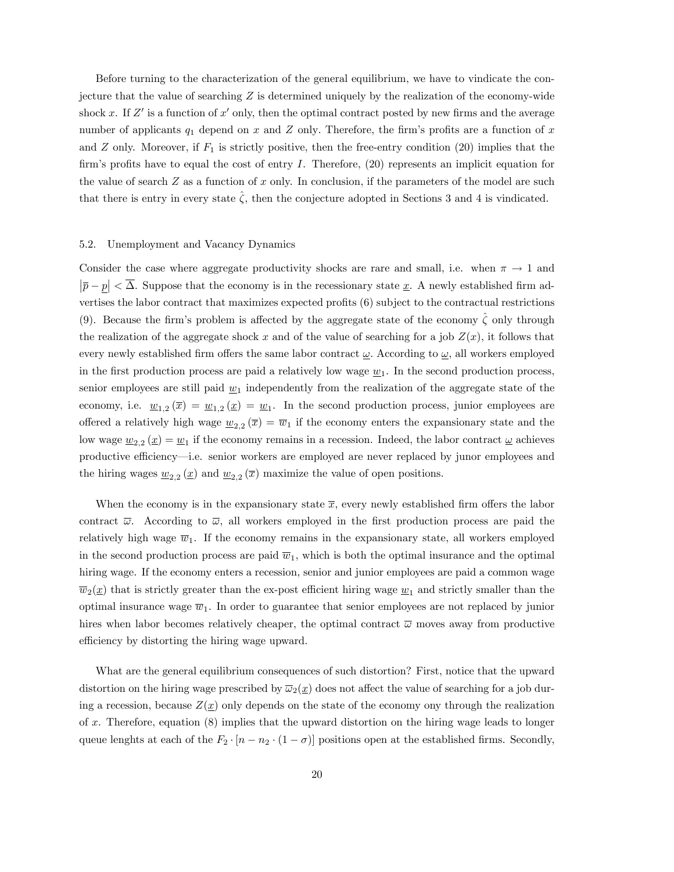Before turning to the characterization of the general equilibrium, we have to vindicate the conjecture that the value of searching  $Z$  is determined uniquely by the realization of the economy-wide shock x. If  $Z'$  is a function of x' only, then the optimal contract posted by new firms and the average number of applicants  $q_1$  depend on x and Z only. Therefore, the firm's profits are a function of x and  $Z$  only. Moreover, if  $F_1$  is strictly positive, then the free-entry condition (20) implies that the firm's profits have to equal the cost of entry  $I$ . Therefore,  $(20)$  represents an implicit equation for the value of search  $Z$  as a function of  $x$  only. In conclusion, if the parameters of the model are such that there is entry in every state  $\hat{\zeta}$ , then the conjecture adopted in Sections 3 and 4 is vindicated.

### 5.2. Unemployment and Vacancy Dynamics

Consider the case where aggregate productivity shocks are rare and small, i.e. when  $\pi \to 1$  and  $|\overline{p} - \underline{p}| < \overline{\Delta}$ . Suppose that the economy is in the recessionary state  $\underline{x}$ . A newly established firm advertises the labor contract that maximizes expected profits  $(6)$  subject to the contractual restrictions (9). Because the firm's problem is affected by the aggregate state of the economy  $\hat{\zeta}$  only through the realization of the aggregate shock x and of the value of searching for a job  $Z(x)$ , it follows that every newly established firm offers the same labor contract  $\omega$ . According to  $\omega$ , all workers employed in the first production process are paid a relatively low wage  $w_1$ . In the second production process, senior employees are still paid  $w_1$  independently from the realization of the aggregate state of the economy, i.e.  $\underline{w}_{1,2}(\overline{x}) = \underline{w}_{1,2}(\underline{x}) = \underline{w}_1$ . In the second production process, junior employees are offered a relatively high wage  $\underline{w}_{2,2}(\overline{x}) = \overline{w}_1$  if the economy enters the expansionary state and the low wage  $\underline{w}_{2,2}(\underline{x}) = \underline{w}_1$  if the economy remains in a recession. Indeed, the labor contract  $\underline{\omega}$  achieves productive efficiency—i.e. senior workers are employed are never replaced by junor employees and the hiring wages  $\underline{w}_{2,2}(\underline{x})$  and  $\underline{w}_{2,2}(\overline{x})$  maximize the value of open positions.

When the economy is in the expansionary state  $\bar{x}$ , every newly established firm offers the labor contract  $\overline{\omega}$ . According to  $\overline{\omega}$ , all workers employed in the first production process are paid the relatively high wage  $\overline{w}_1$ . If the economy remains in the expansionary state, all workers employed in the second production process are paid  $\overline{w}_1$ , which is both the optimal insurance and the optimal hiring wage. If the economy enters a recession, senior and junior employees are paid a common wage  $\overline{w}_2(\underline{x})$  that is strictly greater than the ex-post efficient hiring wage  $\underline{w}_1$  and strictly smaller than the optimal insurance wage  $\overline{w}_1$ . In order to guarantee that senior employees are not replaced by junior hires when labor becomes relatively cheaper, the optimal contract  $\bar{\omega}$  moves away from productive efficiency by distorting the hiring wage upward.

What are the general equilibrium consequences of such distortion? First, notice that the upward distortion on the hiring wage prescribed by  $\overline{\omega}_2(\underline{x})$  does not affect the value of searching for a job during a recession, because  $Z(\underline{x})$  only depends on the state of the economy ony through the realization of x. Therefore, equation  $(8)$  implies that the upward distortion on the hiring wage leads to longer queue lenghts at each of the  $F_2 \cdot [n - n_2 \cdot (1 - \sigma)]$  positions open at the established firms. Secondly,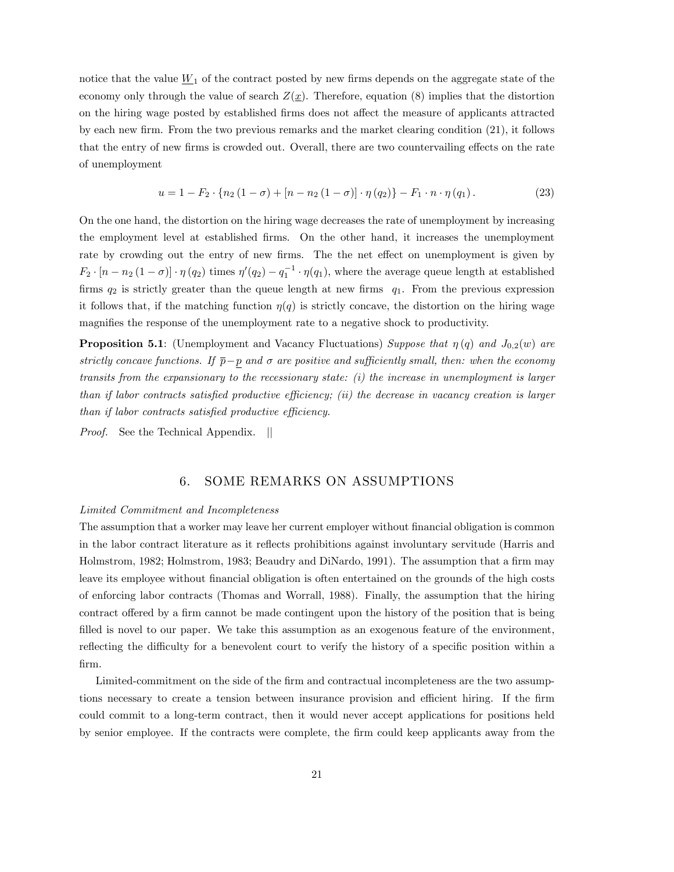notice that the value  $\underline{W}_1$  of the contract posted by new firms depends on the aggregate state of the economy only through the value of search  $Z(\underline{x})$ . Therefore, equation (8) implies that the distortion on the hiring wage posted by established firms does not affect the measure of applicants attracted by each new firm. From the two previous remarks and the market clearing condition  $(21)$ , it follows that the entry of new firms is crowded out. Overall, there are two countervailing effects on the rate of unemployment

$$
u = 1 - F_2 \cdot \{ n_2 (1 - \sigma) + [n - n_2 (1 - \sigma)] \cdot \eta (q_2) \} - F_1 \cdot n \cdot \eta (q_1).
$$
 (23)

On the one hand, the distortion on the hiring wage decreases the rate of unemployment by increasing the employment level at established Örms. On the other hand, it increases the unemployment rate by crowding out the entry of new firms. The the net effect on unemployment is given by  $F_2 \cdot [n - n_2 (1 - \sigma)] \cdot \eta(q_2)$  times  $\eta'(q_2) - q_1^{-1} \cdot \eta(q_1)$ , where the average queue length at established firms  $q_2$  is strictly greater than the queue length at new firms  $q_1$ . From the previous expression it follows that, if the matching function  $\eta(q)$  is strictly concave, the distortion on the hiring wage magnifies the response of the unemployment rate to a negative shock to productivity.

**Proposition 5.1**: (Unemployment and Vacancy Fluctuations) Suppose that  $\eta(q)$  and  $J_{0,2}(w)$  are strictly concave functions. If  $\bar{p}-p$  and  $\sigma$  are positive and sufficiently small, then: when the economy transits from the expansionary to the recessionary state: (i) the increase in unemployment is larger than if labor contracts satisfied productive efficiency; (ii) the decrease in vacancy creation is larger  $than if labor contracts satisfied productive efficiency.$ 

*Proof.* See the Technical Appendix. ||

# 6. SOME REMARKS ON ASSUMPTIONS

#### Limited Commitment and Incompleteness

The assumption that a worker may leave her current employer without financial obligation is common in the labor contract literature as it reflects prohibitions against involuntary servitude (Harris and Holmstrom, 1982; Holmstrom, 1983; Beaudry and DiNardo, 1991). The assumption that a firm may leave its employee without Önancial obligation is often entertained on the grounds of the high costs of enforcing labor contracts (Thomas and Worrall, 1988). Finally, the assumption that the hiring contract offered by a firm cannot be made contingent upon the history of the position that is being filled is novel to our paper. We take this assumption as an exogenous feature of the environment, reflecting the difficulty for a benevolent court to verify the history of a specific position within a Örm.

Limited-commitment on the side of the firm and contractual incompleteness are the two assumptions necessary to create a tension between insurance provision and efficient hiring. If the firm could commit to a long-term contract, then it would never accept applications for positions held by senior employee. If the contracts were complete, the firm could keep applicants away from the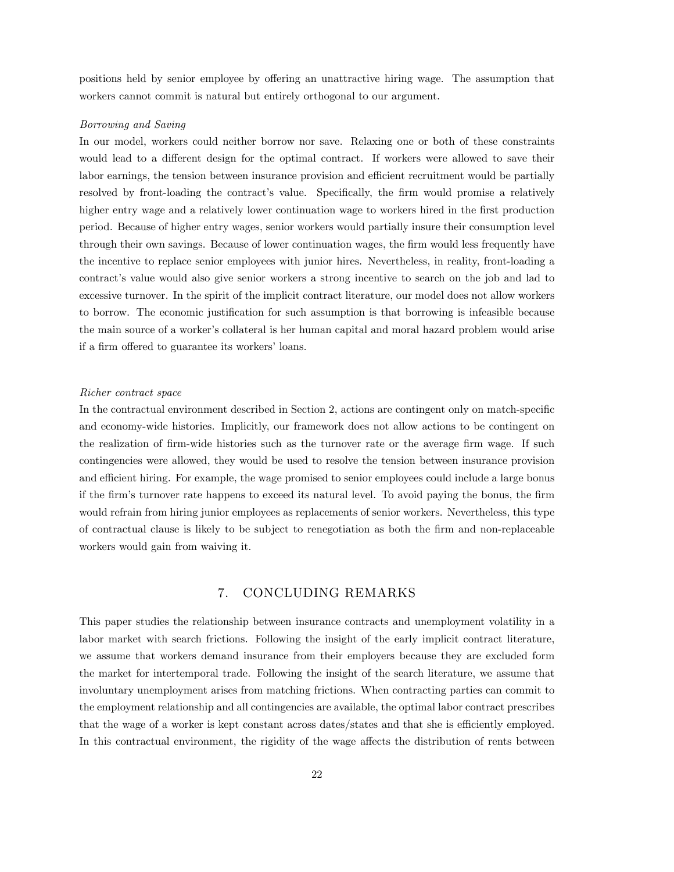positions held by senior employee by offering an unattractive hiring wage. The assumption that workers cannot commit is natural but entirely orthogonal to our argument.

#### Borrowing and Saving

In our model, workers could neither borrow nor save. Relaxing one or both of these constraints would lead to a different design for the optimal contract. If workers were allowed to save their labor earnings, the tension between insurance provision and efficient recruitment would be partially resolved by front-loading the contract's value. Specifically, the firm would promise a relatively higher entry wage and a relatively lower continuation wage to workers hired in the first production period. Because of higher entry wages, senior workers would partially insure their consumption level through their own savings. Because of lower continuation wages, the firm would less frequently have the incentive to replace senior employees with junior hires. Nevertheless, in reality, front-loading a contract's value would also give senior workers a strong incentive to search on the job and lad to excessive turnover. In the spirit of the implicit contract literature, our model does not allow workers to borrow. The economic justification for such assumption is that borrowing is infeasible because the main source of a workerís collateral is her human capital and moral hazard problem would arise if a firm offered to guarantee its workers' loans.

### Richer contract space

In the contractual environment described in Section 2, actions are contingent only on match-specific and economy-wide histories. Implicitly, our framework does not allow actions to be contingent on the realization of firm-wide histories such as the turnover rate or the average firm wage. If such contingencies were allowed, they would be used to resolve the tension between insurance provision and efficient hiring. For example, the wage promised to senior employees could include a large bonus if the firm's turnover rate happens to exceed its natural level. To avoid paying the bonus, the firm would refrain from hiring junior employees as replacements of senior workers. Nevertheless, this type of contractual clause is likely to be subject to renegotiation as both the Örm and non-replaceable workers would gain from waiving it.

# 7. CONCLUDING REMARKS

This paper studies the relationship between insurance contracts and unemployment volatility in a labor market with search frictions. Following the insight of the early implicit contract literature, we assume that workers demand insurance from their employers because they are excluded form the market for intertemporal trade. Following the insight of the search literature, we assume that involuntary unemployment arises from matching frictions. When contracting parties can commit to the employment relationship and all contingencies are available, the optimal labor contract prescribes that the wage of a worker is kept constant across dates/states and that she is efficiently employed. In this contractual environment, the rigidity of the wage affects the distribution of rents between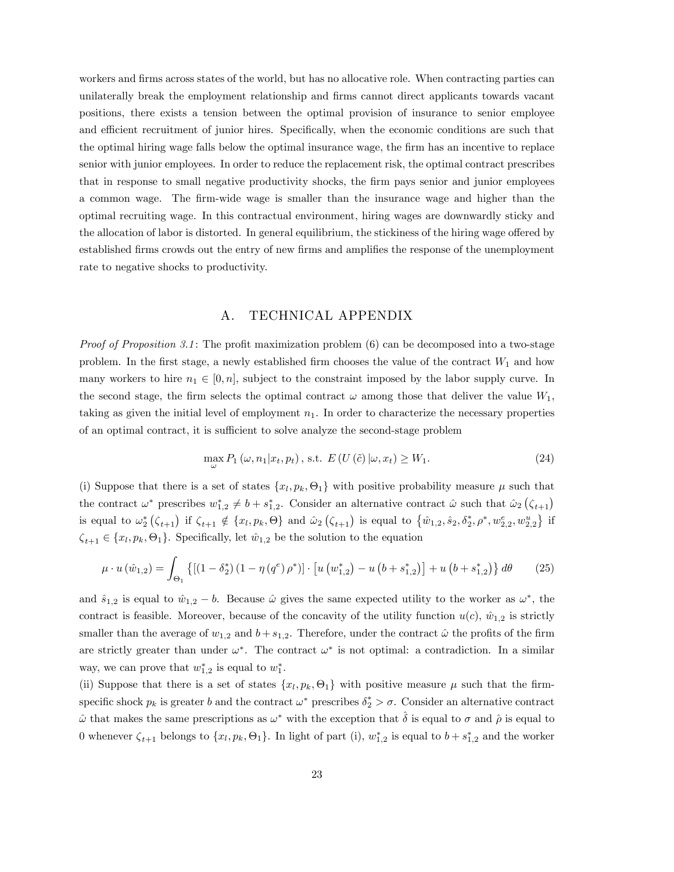workers and firms across states of the world, but has no allocative role. When contracting parties can unilaterally break the employment relationship and firms cannot direct applicants towards vacant positions, there exists a tension between the optimal provision of insurance to senior employee and efficient recruitment of junior hires. Specifically, when the economic conditions are such that the optimal hiring wage falls below the optimal insurance wage, the firm has an incentive to replace senior with junior employees. In order to reduce the replacement risk, the optimal contract prescribes that in response to small negative productivity shocks, the firm pays senior and junior employees a common wage. The Örm-wide wage is smaller than the insurance wage and higher than the optimal recruiting wage. In this contractual environment, hiring wages are downwardly sticky and the allocation of labor is distorted. In general equilibrium, the stickiness of the hiring wage offered by established firms crowds out the entry of new firms and amplifies the response of the unemployment rate to negative shocks to productivity.

# A. TECHNICAL APPENDIX

*Proof of Proposition 3.1*: The profit maximization problem  $(6)$  can be decomposed into a two-stage problem. In the first stage, a newly established firm chooses the value of the contract  $W_1$  and how many workers to hire  $n_1 \in [0, n]$ , subject to the constraint imposed by the labor supply curve. In the second stage, the firm selects the optimal contract  $\omega$  among those that deliver the value  $W_1$ , taking as given the initial level of employment  $n_1$ . In order to characterize the necessary properties of an optimal contract, it is sufficient to solve analyze the second-stage problem

$$
\max_{\omega} P_1(\omega, n_1 | x_t, p_t), \text{ s.t. } E(U(\tilde{c}) | \omega, x_t) \ge W_1. \tag{24}
$$

(i) Suppose that there is a set of states  $\{x_l, p_k, \Theta_1\}$  with positive probability measure  $\mu$  such that the contract  $\omega^*$  prescribes  $w_{1,2}^* \neq b + s_{1,2}^*$ . Consider an alternative contract  $\hat{\omega}$  such that  $\hat{\omega}_2(\zeta_{t+1})$ is equal to  $\omega_2^* (\zeta_{t+1})$  if  $\zeta_{t+1} \notin \{x_l, p_k, \Theta\}$  and  $\omega_2 (\zeta_{t+1})$  is equal to  $\{\hat{w}_{1,2}, \hat{s}_2, \delta_2^*, \rho^*, w_{2,2}^e, w_{2,2}^u\}$  if  $\zeta_{t+1} \in \{x_l, p_k, \Theta_1\}$ . Specifically, let  $\hat{w}_{1,2}$  be the solution to the equation

$$
\mu \cdot u(\hat{w}_{1,2}) = \int_{\Theta_1} \left\{ \left[ (1 - \delta_2^*) \left( 1 - \eta \left( q^e \right) \rho^* \right) \right] \cdot \left[ u \left( w_{1,2}^* \right) - u \left( b + s_{1,2}^* \right) \right] + u \left( b + s_{1,2}^* \right) \right\} d\theta \tag{25}
$$

and  $\hat{s}_{1,2}$  is equal to  $\hat{w}_{1,2} - b$ . Because  $\hat{\omega}$  gives the same expected utility to the worker as  $\omega^*$ , the contract is feasible. Moreover, because of the concavity of the utility function  $u(c)$ ,  $\hat{w}_{1,2}$  is strictly smaller than the average of  $w_{1,2}$  and  $b + s_{1,2}$ . Therefore, under the contract  $\hat{\omega}$  the profits of the firm are strictly greater than under  $\omega^*$ . The contract  $\omega^*$  is not optimal: a contradiction. In a similar way, we can prove that  $w_{1,2}^*$  is equal to  $w_1^*$ .

(ii) Suppose that there is a set of states  $\{x_l, p_k, \Theta_1\}$  with positive measure  $\mu$  such that the firmspecific shock  $p_k$  is greater b and the contract  $\omega^*$  prescribes  $\delta_2^* > \sigma$ . Consider an alternative contract  $\hat{\omega}$  that makes the same prescriptions as  $\omega^*$  with the exception that  $\hat{\delta}$  is equal to  $\sigma$  and  $\hat{\rho}$  is equal to 0 whenever  $\zeta_{t+1}$  belongs to  $\{x_l, p_k, \Theta_1\}$ . In light of part (i),  $w_{1,2}^*$  is equal to  $b + s_{1,2}^*$  and the worker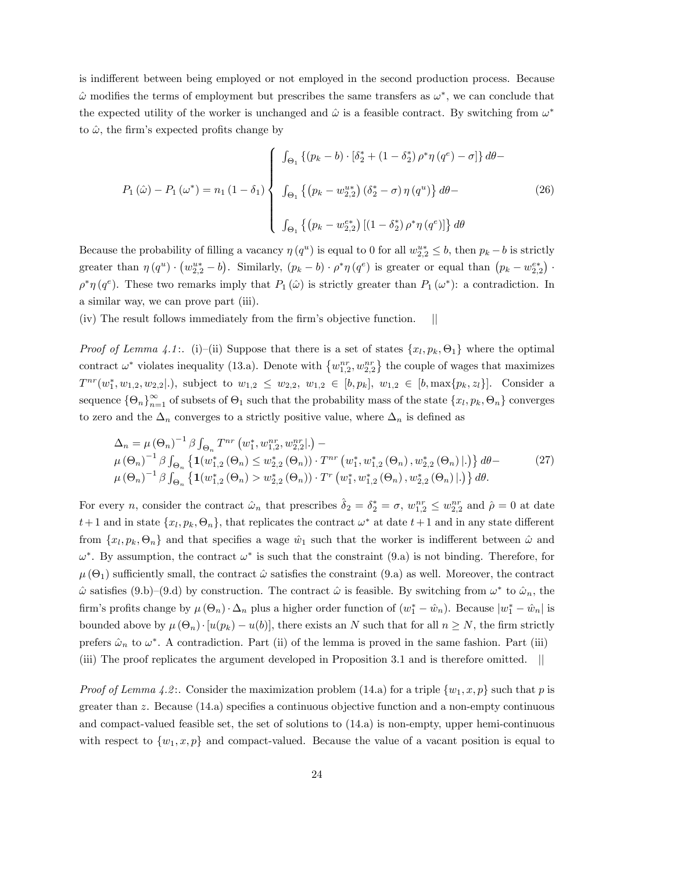is indifferent between being employed or not employed in the second production process. Because  $\hat{\omega}$  modifies the terms of employment but prescribes the same transfers as  $\omega^*$ , we can conclude that the expected utility of the worker is unchanged and  $\hat{\omega}$  is a feasible contract. By switching from  $\omega^*$ to  $\hat{\omega}$ , the firm's expected profits change by

$$
P_{1}(\hat{\omega}) - P_{1}(\omega^{*}) = n_{1} (1 - \delta_{1}) \begin{cases} \int_{\Theta_{1}} \left\{ (p_{k} - b) \cdot [\delta_{2}^{*} + (1 - \delta_{2}^{*}) \rho^{*} \eta (q^{e}) - \sigma] \right\} d\theta - \\ \int_{\Theta_{1}} \left\{ (p_{k} - w_{2,2}^{u*}) (\delta_{2}^{*} - \sigma) \eta (q^{u}) \right\} d\theta - \\ \int_{\Theta_{1}} \left\{ (p_{k} - w_{2,2}^{e*}) \left[ (1 - \delta_{2}^{*}) \rho^{*} \eta (q^{e}) \right] \right\} d\theta \end{cases}
$$
(26)

Because the probability of filling a vacancy  $\eta(q^u)$  is equal to 0 for all  $w_{2,2}^{u*} \leq b$ , then  $p_k - b$  is strictly greater than  $\eta(q^u) \cdot (w_{2,2}^{u*} - b)$ . Similarly,  $(p_k - b) \cdot \rho^* \eta(q^e)$  is greater or equal than  $(p_k - w_{2,2}^{e*}) \cdot$  $\rho^*\eta(q^e)$ . These two remarks imply that  $P_1(\hat{\omega})$  is strictly greater than  $P_1(\omega^*)$ : a contradiction. In a similar way, we can prove part (iii).

 $(iv)$  The result follows immediately from the firm's objective function.

*Proof of Lemma 4.1*: (i)–(ii) Suppose that there is a set of states  $\{x_l, p_k, \Theta_1\}$  where the optimal contract  $\omega^*$  violates inequality (13.a). Denote with  $\{w_{1,2}^{nr}, w_{2,2}^{nr}\}$  the couple of wages that maximizes  $T^{nr}(w_1^*, w_{1,2}, w_{2,2}|.)$ , subject to  $w_{1,2} \leq w_{2,2}, w_{1,2} \in [b, p_k], w_{1,2} \in [b, \max\{p_k, z_l\}]$ . Consider a sequence  $\{\Theta_n\}_{n=1}^{\infty}$  of subsets of  $\Theta_1$  such that the probability mass of the state  $\{x_l, p_k, \Theta_n\}$  converges to zero and the  $\Delta_n$  converges to a strictly positive value, where  $\Delta_n$  is defined as

$$
\Delta_n = \mu (\Theta_n)^{-1} \beta \int_{\Theta_n} T^{nr} (w_1^*, w_{1,2}^{nr}, w_{2,2}^{nr}|.) -
$$
  
\n
$$
\mu (\Theta_n)^{-1} \beta \int_{\Theta_n} \left\{ \mathbf{1}(w_{1,2}^*(\Theta_n) \le w_{2,2}^*(\Theta_n)) \cdot T^{nr} (w_1^*, w_{1,2}^*(\Theta_n), w_{2,2}^*(\Theta_n)|.) \right\} d\theta -
$$
  
\n
$$
\mu (\Theta_n)^{-1} \beta \int_{\Theta_n} \left\{ \mathbf{1}(w_{1,2}^*(\Theta_n) > w_{2,2}^*(\Theta_n)) \cdot T^r (w_1^*, w_{1,2}^*(\Theta_n), w_{2,2}^*(\Theta_n)|.) \right\} d\theta.
$$
\n(27)

For every *n*, consider the contract  $\hat{\omega}_n$  that prescribes  $\hat{\delta}_2 = \delta_2^* = \sigma$ ,  $w_{1,2}^{nr} \leq w_{2,2}^{nr}$  and  $\hat{\rho} = 0$  at date  $t+1$  and in state  $\{x_l, p_k, \Theta_n\}$ , that replicates the contract  $\omega^*$  at date  $t+1$  and in any state different from  $\{x_l, p_k, \Theta_n\}$  and that specifies a wage  $\hat{w}_1$  such that the worker is indifferent between  $\hat{\omega}$  and  $\omega^*$ . By assumption, the contract  $\omega^*$  is such that the constraint (9.a) is not binding. Therefore, for  $\mu(\Theta_1)$  sufficiently small, the contract  $\hat{\omega}$  satisfies the constraint (9.a) as well. Moreover, the contract  $\hat{\omega}$  satisfies (9.b)–(9.d) by construction. The contract  $\hat{\omega}$  is feasible. By switching from  $\omega^*$  to  $\hat{\omega}_n$ , the firm's profits change by  $\mu(\Theta_n) \cdot \Delta_n$  plus a higher order function of  $(w_1^* - \hat{w}_n)$ . Because  $|w_1^* - \hat{w}_n|$  is bounded above by  $\mu(\Theta_n) \cdot [u(p_k) - u(b)]$ , there exists an N such that for all  $n \geq N$ , the firm strictly prefers  $\hat{\omega}_n$  to  $\omega^*$ . A contradiction. Part (ii) of the lemma is proved in the same fashion. Part (iii) (iii) The proof replicates the argument developed in Proposition 3.1 and is therefore omitted. jj

*Proof of Lemma 4.2*: Consider the maximization problem (14.a) for a triple  $\{w_1, x, p\}$  such that p is greater than z. Because  $(14.a)$  specifies a continuous objective function and a non-empty continuous and compact-valued feasible set, the set of solutions to (14.a) is non-empty, upper hemi-continuous with respect to  $\{w_1, x, p\}$  and compact-valued. Because the value of a vacant position is equal to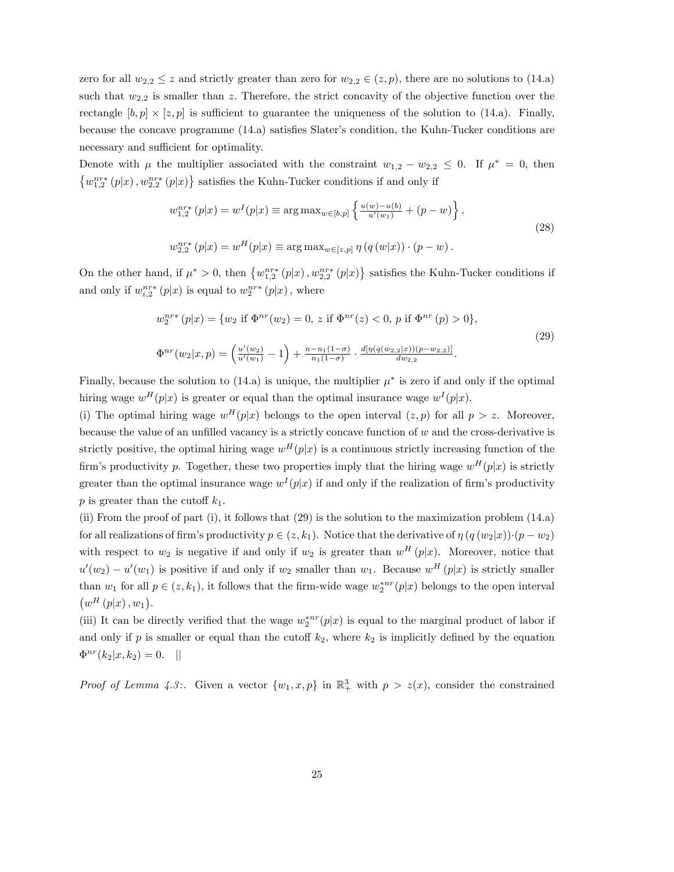zero for all  $w_{2,2} \leq z$  and strictly greater than zero for  $w_{2,2} \in (z, p)$ , there are no solutions to (14.a) such that  $w_{2,2}$  is smaller than z. Therefore, the strict concavity of the objective function over the rectangle  $[b, p] \times [z, p]$  is sufficient to guarantee the uniqueness of the solution to (14.a). Finally, because the concave programme  $(14.a)$  satisfies Slater's condition, the Kuhn-Tucker conditions are necessary and sufficient for optimality.

Denote with  $\mu$  the multiplier associated with the constraint  $w_{1,2} - w_{2,2} \leq 0$ . If  $\mu^* = 0$ , then  $\left\{w_{1,2}^{nr*}\left(p|x\right),w_{2,2}^{nr*}\left(p|x\right)\right\}$  satisfies the Kuhn-Tucker conditions if and only if

$$
w_{1,2}^{nr*}(p|x) = w^{I}(p|x) \equiv \arg \max_{w \in [b,p]} \left\{ \frac{u(w) - u(b)}{u'(w_1)} + (p - w) \right\},\
$$
  

$$
w_{2,2}^{nr*}(p|x) = w^{H}(p|x) \equiv \arg \max_{w \in [z,p]} \eta(q(w|x)) \cdot (p - w).
$$
 (28)

On the other hand, if  $\mu^* > 0$ , then  $\{w_{1,2}^{nr*}(p|x), w_{2,2}^{nr*}(p|x)\}$  satisfies the Kuhn-Tucker conditions if and only if  $w_{i,2}^{nr*}(p|x)$  is equal to  $w_2^{nr*}(p|x)$ , where

$$
w_2^{nr*}(p|x) = \{w_2 \text{ if } \Phi^{nr}(w_2) = 0, z \text{ if } \Phi^{nr}(z) < 0, p \text{ if } \Phi^{nr}(p) > 0\},\
$$
  

$$
\Phi^{nr}(w_2|x, p) = \left(\frac{u'(w_2)}{u'(w_1)} - 1\right) + \frac{n - n_1(1 - \sigma)}{n_1(1 - \sigma)} \cdot \frac{d[\eta(q(w_{2,2}|x))(p - w_{2,2})]}{dw_{2,2}}.
$$
\n
$$
(29)
$$

Finally, because the solution to  $(14.a)$  is unique, the multiplier  $\mu^*$  is zero if and only if the optimal hiring wage  $w^H(p|x)$  is greater or equal than the optimal insurance wage  $w^I(p|x)$ .

(i) The optimal hiring wage  $w^H(p|x)$  belongs to the open interval  $(z, p)$  for all  $p > z$ . Moreover, because the value of an unfilled vacancy is a strictly concave function of  $w$  and the cross-derivative is strictly positive, the optimal hiring wage  $w^H(p|x)$  is a continuous strictly increasing function of the firm's productivity p. Together, these two properties imply that the hiring wage  $w^H(p|x)$  is strictly greater than the optimal insurance wage  $w^{I}(p|x)$  if and only if the realization of firm's productivity p is greater than the cutoff  $k_1$ .

(ii) From the proof of part (i), it follows that (29) is the solution to the maximization problem (14.a) for all realizations of firm's productivity  $p \in (z, k_1)$ . Notice that the derivative of  $\eta (q(w_2|x))\cdot (p - w_2)$ with respect to  $w_2$  is negative if and only if  $w_2$  is greater than  $w^H(p|x)$ . Moreover, notice that  $u'(w_2) - u'(w_1)$  is positive if and only if  $w_2$  smaller than  $w_1$ . Because  $w^H(p|x)$  is strictly smaller than  $w_1$  for all  $p \in (z, k_1)$ , it follows that the firm-wide wage  $w_2^{*nr}(p|x)$  belongs to the open interval  $\left(w^{H}\left(p|x\right),w_{1}\right).$ 

(iii) It can be directly verified that the wage  $w_2^{*nr}(p|x)$  is equal to the marginal product of labor if and only if p is smaller or equal than the cutoff  $k_2$ , where  $k_2$  is implicitly defined by the equation  $\Phi^{nr}(k_2|x, k_2) = 0.$  ||

*Proof of Lemma 4.3*: Given a vector  $\{w_1, x, p\}$  in  $\mathbb{R}^3_+$  with  $p > z(x)$ , consider the constrained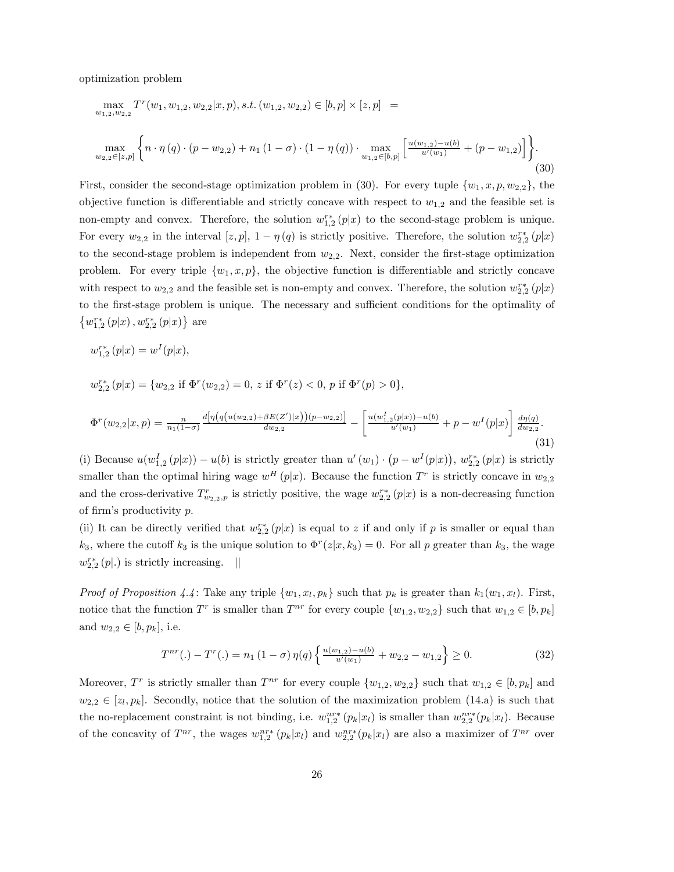optimization problem

$$
\max_{w_{1,2},w_{2,2}} T^{r}(w_{1},w_{1,2},w_{2,2}|x,p), s.t. (w_{1,2},w_{2,2}) \in [b,p] \times [z,p] =
$$
\n
$$
\max_{w_{2,2} \in [z,p]} \left\{ n \cdot \eta(q) \cdot (p - w_{2,2}) + n_{1} (1 - \sigma) \cdot (1 - \eta(q)) \cdot \max_{w_{1,2} \in [b,p]} \left[ \frac{u(w_{1,2}) - u(b)}{u'(w_{1})} + (p - w_{1,2}) \right] \right\}.
$$
\n(30)

First, consider the second-stage optimization problem in (30). For every tuple  $\{w_1, x, p, w_{2,2}\}$ , the objective function is differentiable and strictly concave with respect to  $w_{1,2}$  and the feasible set is non-empty and convex. Therefore, the solution  $w_{1,2}^{r*}(p|x)$  to the second-stage problem is unique. For every  $w_{2,2}$  in the interval  $[z, p]$ ,  $1 - \eta(q)$  is strictly positive. Therefore, the solution  $w_{2,2}^{r*}(p|x)$ to the second-stage problem is independent from  $w_{2,2}$ . Next, consider the first-stage optimization problem. For every triple  $\{w_1, x, p\}$ , the objective function is differentiable and strictly concave with respect to  $w_{2,2}$  and the feasible set is non-empty and convex. Therefore, the solution  $w_{2,2}^{r*}(p|x)$ to the first-stage problem is unique. The necessary and sufficient conditions for the optimality of  $\left\{w_{1,2}^{r*}\left(p|x\right),w_{2,2}^{r*}\left(p|x\right)\right\}$  are

$$
w_{1,2}^{r*}(p|x) = w^{I}(p|x),
$$

 $w_{2,2}^{r*}(p|x) = \{w_{2,2} \text{ if } \Phi^r(w_{2,2}) = 0, z \text{ if } \Phi^r(z) < 0, p \text{ if } \Phi^r(p) > 0\},\$ 

$$
\Phi^r(w_{2,2}|x,p) = \frac{n}{n_1(1-\sigma)} \frac{d[\eta(q(u(w_{2,2}) + \beta E(Z')|x))(p-w_{2,2})]}{dw_{2,2}} - \left[ \frac{u(w_{1,2}^I(p|x)) - u(b)}{u'(w_1)} + p - w^I(p|x) \right] \frac{d\eta(q)}{dw_{2,2}}.
$$
\n(31)

(i) Because  $u(w_{1,2}^I(p|x)) - u(b)$  is strictly greater than  $u'(w_1) \cdot (p - w^I(p|x))$ ,  $w_{2,2}^{**}(p|x)$  is strictly smaller than the optimal hiring wage  $w^H(p|x)$ . Because the function  $T^r$  is strictly concave in  $w_{2,2}$ and the cross-derivative  $T_{w_{2,2},p}^r$  is strictly positive, the wage  $w_{2,2}^{r*}(p|x)$  is a non-decreasing function of firm's productivity  $p$ .

(ii) It can be directly verified that  $w_{2,2}^{r*}(p|x)$  is equal to z if and only if p is smaller or equal than  $k_3$ , where the cutoff  $k_3$  is the unique solution to  $\Phi^r(z|x, k_3) = 0$ . For all p greater than  $k_3$ , the wage  $w_{2,2}^{r*}(p|.)$  is strictly increasing. ||

*Proof of Proposition 4.4*: Take any triple  $\{w_1, x_l, p_k\}$  such that  $p_k$  is greater than  $k_1(w_1, x_l)$ . First, notice that the function  $T^r$  is smaller than  $T^{nr}$  for every couple  $\{w_{1,2}, w_{2,2}\}$  such that  $w_{1,2} \in [b, p_k]$ and  $w_{2,2} \in [b, p_k]$ , i.e.

$$
T^{nr}(.) - T^{r}(.) = n_1 (1 - \sigma) \eta(q) \left\{ \frac{u(w_{1,2}) - u(b)}{u'(w_1)} + w_{2,2} - w_{1,2} \right\} \ge 0.
$$
 (32)

Moreover,  $T^r$  is strictly smaller than  $T^{nr}$  for every couple  $\{w_{1,2}, w_{2,2}\}$  such that  $w_{1,2} \in [b, p_k]$  and  $w_{2,2} \in [z_l, p_k]$ . Secondly, notice that the solution of the maximization problem (14.a) is such that the no-replacement constraint is not binding, i.e.  $w_{1,2}^{nr*}(p_k|x_l)$  is smaller than  $w_{2,2}^{nr*}(p_k|x_l)$ . Because of the concavity of  $T^{nr}$ , the wages  $w_{1,2}^{nr*}(p_k|x_l)$  and  $w_{2,2}^{nr*}(p_k|x_l)$  are also a maximizer of  $T^{nr}$  over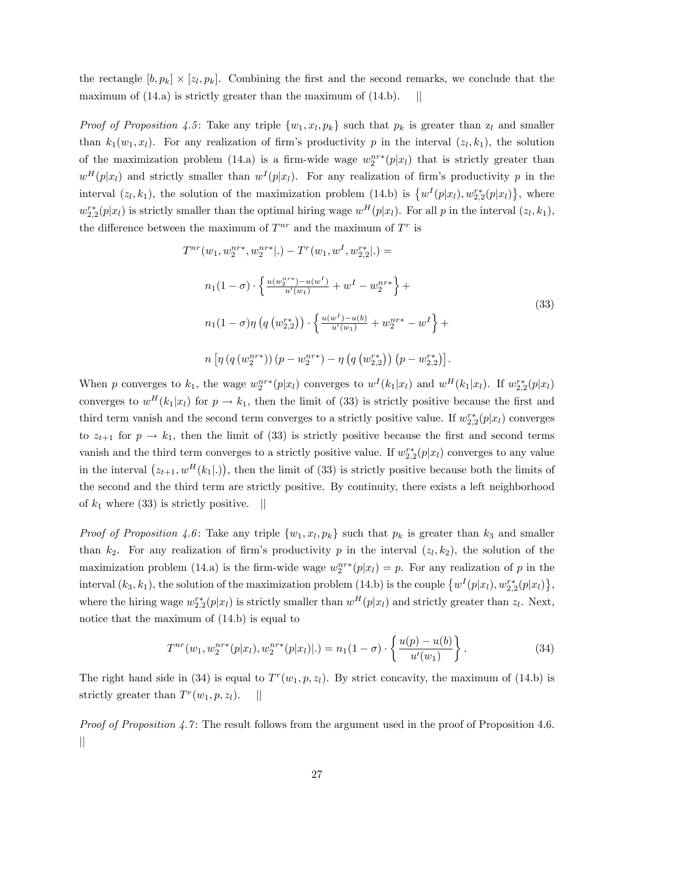the rectangle  $[b, p_k] \times [z_l, p_k]$ . Combining the first and the second remarks, we conclude that the maximum of  $(14.a)$  is strictly greater than the maximum of  $(14.b)$ . ||

*Proof of Proposition 4.5*: Take any triple  $\{w_1, x_l, p_k\}$  such that  $p_k$  is greater than  $z_l$  and smaller than  $k_1(w_1, x_l)$ . For any realization of firm's productivity p in the interval  $(z_l, k_1)$ , the solution of the maximization problem (14.a) is a firm-wide wage  $w_2^{nr*}(p|x_l)$  that is strictly greater than  $w^H(p|x_l)$  and strictly smaller than  $w^I(p|x_l)$ . For any realization of firm's productivity p in the interval  $(z_l, k_1)$ , the solution of the maximization problem (14.b) is  $\{w^I(p|x_l), w_{2,2}^{r*}(p|x_l)\}\$ , where  $w_{2,2}^{r*}(p|x_l)$  is strictly smaller than the optimal hiring wage  $w^H(p|x_l)$ . For all p in the interval  $(z_l, k_1)$ , the difference between the maximum of  $T^{nr}$  and the maximum of  $T^r$  is

$$
T^{nr}(w_1, w_2^{nr*}, w_2^{nr*} |.) - T^r(w_1, w^I, w_{2,2}^{r*} |.) =
$$
  
\n
$$
n_1(1 - \sigma) \cdot \left\{ \frac{u(w_2^{nr*}) - u(w^I)}{u'(w_1)} + w^I - w_2^{nr*} \right\} +
$$
  
\n
$$
n_1(1 - \sigma) \eta \left( q \left( w_{2,2}^{r*} \right) \right) \cdot \left\{ \frac{u(w^I) - u(b)}{u'(w_1)} + w_2^{nr*} - w^I \right\} +
$$
  
\n
$$
n \left[ \eta \left( q \left( w_2^{nr*} \right) \right) \left( p - w_2^{nr*} \right) - \eta \left( q \left( w_{2,2}^{r*} \right) \right) \left( p - w_{2,2}^{r*} \right) \right].
$$
  
\n(33)

When p converges to  $k_1$ , the wage  $w_2^{nr*}(p|x_l)$  converges to  $w^I(k_1|x_l)$  and  $w^H(k_1|x_l)$ . If  $w_{2,2}^{r*}(p|x_l)$ converges to  $w^H(k_1|x_l)$  for  $p \to k_1$ , then the limit of (33) is strictly positive because the first and third term vanish and the second term converges to a strictly positive value. If  $w_{2,2}^{r*}(p|x_l)$  converges to  $z_{t+1}$  for  $p \to k_1$ , then the limit of (33) is strictly positive because the first and second terms vanish and the third term converges to a strictly positive value. If  $w_{2,2}^{r*}(p|x_l)$  converges to any value in the interval  $(z_{t+1}, w^H(k_1|))$ , then the limit of (33) is strictly positive because both the limits of the second and the third term are strictly positive. By continuity, there exists a left neighborhood of  $k_1$  where (33) is strictly positive.  $\parallel$ 

*Proof of Proposition 4.6*: Take any triple  $\{w_1, x_l, p_k\}$  such that  $p_k$  is greater than  $k_3$  and smaller than  $k_2$ . For any realization of firm's productivity p in the interval  $(z_l, k_2)$ , the solution of the maximization problem (14.a) is the firm-wide wage  $w_2^{nr*}(p|x_l) = p$ . For any realization of p in the interval  $(k_3, k_1)$ , the solution of the maximization problem (14.b) is the couple  $\{w^I(p|x_l), w_{2,2}^{r*}(p|x_l)\},$ where the hiring wage  $w_{2,2}^{r*}(p|x_l)$  is strictly smaller than  $w^H(p|x_l)$  and strictly greater than  $z_l$ . Next, notice that the maximum of (14.b) is equal to

$$
T^{nr}(w_1, w_2^{nr*}(p|x_l), w_2^{nr*}(p|x_l)|.) = n_1(1-\sigma) \cdot \left\{ \frac{u(p) - u(b)}{u'(w_1)} \right\}.
$$
\n(34)

The right hand side in (34) is equal to  $T^r(w_1, p, z_l)$ . By strict concavity, the maximum of (14.b) is strictly greater than  $T^r(w_1, p, z_l)$ . ||

*Proof of Proposition 4.7*: The result follows from the argument used in the proof of Proposition 4.6.  $\mathbb{I}$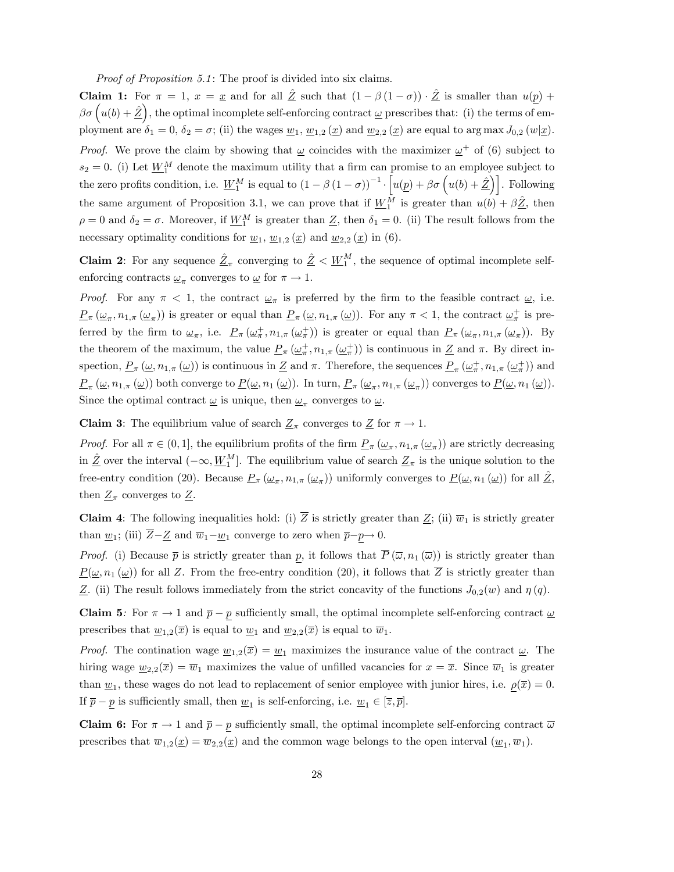Proof of Proposition 5.1: The proof is divided into six claims.

**Claim 1:** For  $\pi = 1$ ,  $x = \underline{x}$  and for all  $\underline{\hat{Z}}$  such that  $(1 - \beta(1 - \sigma)) \cdot \underline{\hat{Z}}$  is smaller than  $u(p)$  +  $\beta\sigma\left(u(b)+\hat{Z}\right)$ , the optimal incomplete self-enforcing contract  $\omega$  prescribes that: (i) the terms of employment are  $\delta_1 = 0$ ,  $\delta_2 = \sigma$ ; (ii) the wages  $\underline{w}_1$ ,  $\underline{w}_{1,2}(\underline{x})$  and  $\underline{w}_{2,2}(\underline{x})$  are equal to  $\arg \max J_{0,2}(w|\underline{x})$ . *Proof.* We prove the claim by showing that  $\omega$  coincides with the maximizer  $\omega^+$  of (6) subject to  $s_2 = 0$ . (i) Let  $\underline{W}_1^M$  denote the maximum utility that a firm can promise to an employee subject to the zero profits condition, i.e.  $\underline{W}_1^M$  is equal to  $(1 - \beta (1 - \sigma))^{-1}$ .  $\left[u(p) + \beta \sigma\left(u(b) + \underline{\hat{Z}}\right)\right]$ . Following the same argument of Proposition 3.1, we can prove that if  $\underline{W}_1^M$  is greater than  $u(b) + \beta \hat{\underline{Z}}$ , then  $\rho = 0$  and  $\delta_2 = \sigma$ . Moreover, if  $\underline{W}_1^M$  is greater than  $\underline{Z}$ , then  $\delta_1 = 0$ . (ii) The result follows from the necessary optimality conditions for  $\underline{w}_1$ ,  $\underline{w}_{1,2}(\underline{x})$  and  $\underline{w}_{2,2}(\underline{x})$  in (6).

**Claim 2**: For any sequence  $\underline{\hat{Z}}_{\pi}$  converging to  $\underline{\hat{Z}} < \underline{W}_1^M$ , the sequence of optimal incomplete selfenforcing contracts  $\underline{\omega}_{\pi}$  converges to  $\underline{\omega}$  for  $\pi \to 1$ .

*Proof.* For any  $\pi$  < 1, the contract  $\omega_{\pi}$  is preferred by the firm to the feasible contract  $\omega$ , i.e.  $\underline{P}_{\pi}(\underline{\omega}_{\pi}, n_{1,\pi}(\underline{\omega}_{\pi}))$  is greater or equal than  $\underline{P}_{\pi}(\underline{\omega}, n_{1,\pi}(\underline{\omega}))$ . For any  $\pi < 1$ , the contract  $\underline{\omega}_{\pi}^{+}$  is preferred by the firm to  $\underline{\omega}_{\pi}$ , i.e.  $\underline{P}_{\pi}(\underline{\omega}_{\pi}^+, n_{1,\pi}(\underline{\omega}_{\pi}^+))$  is greater or equal than  $\underline{P}_{\pi}(\underline{\omega}_{\pi}, n_{1,\pi}(\underline{\omega}_{\pi}))$ . By the theorem of the maximum, the value  $\underline{P}_{\pi}(\underline{\omega}_{\pi}^+, n_{1,\pi}(\underline{\omega}_{\pi}^+))$  is continuous in  $\underline{Z}$  and  $\pi$ . By direct inspection,  $\underline{P}_{\pi}(\underline{\omega}, n_{1,\pi}(\underline{\omega}))$  is continuous in  $\underline{Z}$  and  $\pi$ . Therefore, the sequences  $\underline{P}_{\pi}(\underline{\omega}_{\pi}^+, n_{1,\pi}(\underline{\omega}_{\pi}^+))$  and  $\underline{P}_{\pi}(\underline{\omega}, n_{1,\pi}(\underline{\omega}))$  both converge to  $\underline{P}(\underline{\omega}, n_1(\underline{\omega}))$ . In turn,  $\underline{P}_{\pi}(\underline{\omega}_{\pi}, n_{1,\pi}(\underline{\omega}_{\pi}))$  converges to  $\underline{P}(\underline{\omega}, n_1(\underline{\omega}))$ . Since the optimal contract  $\omega$  is unique, then  $\omega_{\pi}$  converges to  $\omega$ .

**Claim 3:** The equilibrium value of search  $Z_{\pi}$  converges to  $Z$  for  $\pi \to 1$ .

*Proof.* For all  $\pi \in (0, 1]$ , the equilibrium profits of the firm  $\underline{P}_{\pi}(\underline{\omega}_{\pi}, n_{1,\pi}(\underline{\omega}_{\pi}))$  are strictly decreasing in  $\hat{\mathbb{Z}}$  over the interval  $(-\infty, \underline{W}_1^M]$ . The equilibrium value of search  $\underline{\mathbb{Z}}_{\pi}$  is the unique solution to the free-entry condition (20). Because  $\underline{P}_{\pi}(\underline{\omega}_{\pi}, n_{1,\pi}(\underline{\omega}_{\pi}))$  uniformly converges to  $\underline{P}(\underline{\omega}, n_1(\underline{\omega}))$  for all  $\underline{\hat{Z}}$ , then  $\underline{Z}_{\pi}$  converges to  $\underline{Z}$ .

**Claim 4:** The following inequalities hold: (i)  $\overline{Z}$  is strictly greater than  $\underline{Z}$ ; (ii)  $\overline{w}_1$  is strictly greater than  $\underline{w}_1$ ; (iii)  $\overline{Z}-\underline{Z}$  and  $\overline{w}_1-\underline{w}_1$  converge to zero when  $\overline{p}-\underline{p}\to 0$ .

*Proof.* (i) Because  $\bar{p}$  is strictly greater than p, it follows that  $\bar{P}(\bar{\omega}, n_1(\bar{\omega}))$  is strictly greater than  $\underline{P}(\underline{\omega}, n_1(\underline{\omega}))$  for all Z. From the free-entry condition (20), it follows that Z is strictly greater than Z. (ii) The result follows immediately from the strict concavity of the functions  $J_{0,2}(w)$  and  $\eta(q)$ .

Claim 5: For  $\pi \to 1$  and  $\bar{p} - p$  sufficiently small, the optimal incomplete self-enforcing contract  $\underline{\omega}$ prescribes that  $\underline{w}_{1,2}(\overline{x})$  is equal to  $\underline{w}_1$  and  $\underline{w}_{2,2}(\overline{x})$  is equal to  $\overline{w}_1$ .

*Proof.* The contination wage  $\underline{w}_{1,2}(\overline{x}) = \underline{w}_1$  maximizes the insurance value of the contract  $\underline{\omega}$ . The hiring wage  $\underline{w}_{2,2}(\overline{x}) = \overline{w}_1$  maximizes the value of unfilled vacancies for  $x = \overline{x}$ . Since  $\overline{w}_1$  is greater than  $\underline{w}_1$ , these wages do not lead to replacement of senior employee with junior hires, i.e.  $\underline{\rho}(\overline{x}) = 0$ . If  $\bar{p} - \underline{p}$  is sufficiently small, then  $\underline{w}_1$  is self-enforcing, i.e.  $\underline{w}_1 \in [\overline{z}, \overline{p}]$ .

**Claim 6:** For  $\pi \to 1$  and  $\bar{p} - p$  sufficiently small, the optimal incomplete self-enforcing contract  $\bar{\omega}$ prescribes that  $\overline{w}_{1,2}(\underline{x}) = \overline{w}_{2,2}(\underline{x})$  and the common wage belongs to the open interval  $(\underline{w}_1, \overline{w}_1)$ .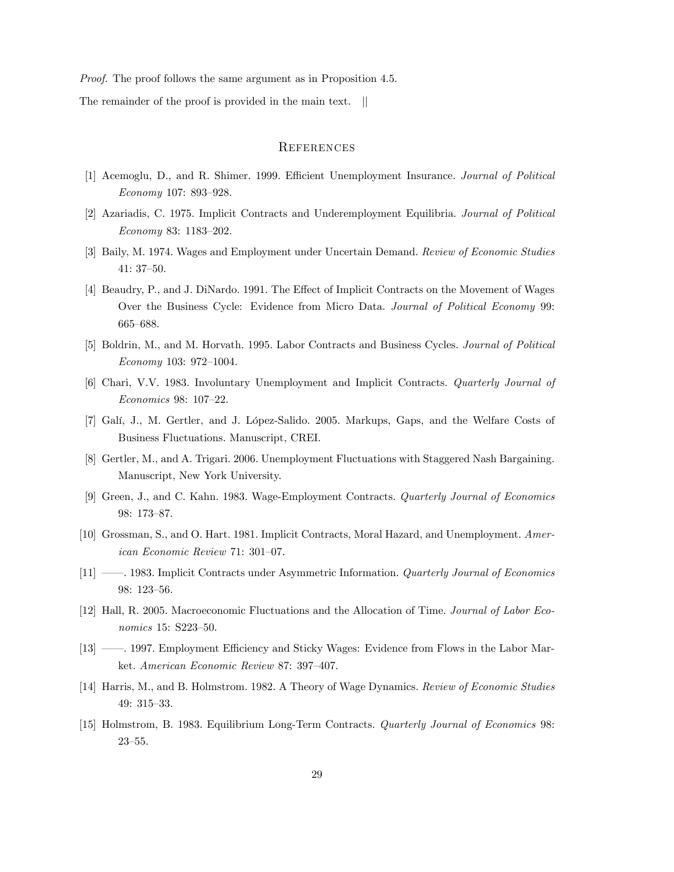Proof. The proof follows the same argument as in Proposition 4.5.

The remainder of the proof is provided in the main text. ||

# **REFERENCES**

- [1] Acemoglu, D., and R. Shimer. 1999. Efficient Unemployment Insurance. Journal of Political Economy 107: 893-928.
- [2] Azariadis, C. 1975. Implicit Contracts and Underemployment Equilibria. Journal of Political Economy 83:  $1183-202$ .
- [3] Baily, M. 1974. Wages and Employment under Uncertain Demand. Review of Economic Studies  $41:37-50.$
- [4] Beaudry, P., and J. DiNardo. 1991. The Effect of Implicit Contracts on the Movement of Wages Over the Business Cycle: Evidence from Micro Data. Journal of Political Economy 99: 665–688.
- [5] Boldrin, M., and M. Horvath. 1995. Labor Contracts and Business Cycles. Journal of Political  $Economy$  103: 972-1004.
- [6] Chari, V.V. 1983. Involuntary Unemployment and Implicit Contracts. Quarterly Journal of Economics 98: 107-22.
- [7] Galí, J., M. Gertler, and J. López-Salido. 2005. Markups, Gaps, and the Welfare Costs of Business Fluctuations. Manuscript, CREI.
- [8] Gertler, M., and A. Trigari. 2006. Unemployment Fluctuations with Staggered Nash Bargaining. Manuscript, New York University.
- [9] Green, J., and C. Kahn. 1983. Wage-Employment Contracts. Quarterly Journal of Economics 98: 173-87.
- [10] Grossman, S., and O. Hart. 1981. Implicit Contracts, Moral Hazard, and Unemployment. American Economic Review 71: 301-07.
- [11] <sup>*i*</sup> 1983. Implicit Contracts under Asymmetric Information. *Quarterly Journal of Economics* 98: 123-56.
- [12] Hall, R. 2005. Macroeconomic Fluctuations and the Allocation of Time. Journal of Labor Economics 15: S223-50.
- [13] <sup>*n*</sup> 1997. Employment Efficiency and Sticky Wages: Evidence from Flows in the Labor Market. American Economic Review 87: 397-407.
- [14] Harris, M., and B. Holmstrom. 1982. A Theory of Wage Dynamics. Review of Economic Studies 49: 315-33.
- [15] Holmstrom, B. 1983. Equilibrium Long-Term Contracts. Quarterly Journal of Economics 98:  $23 - 55.$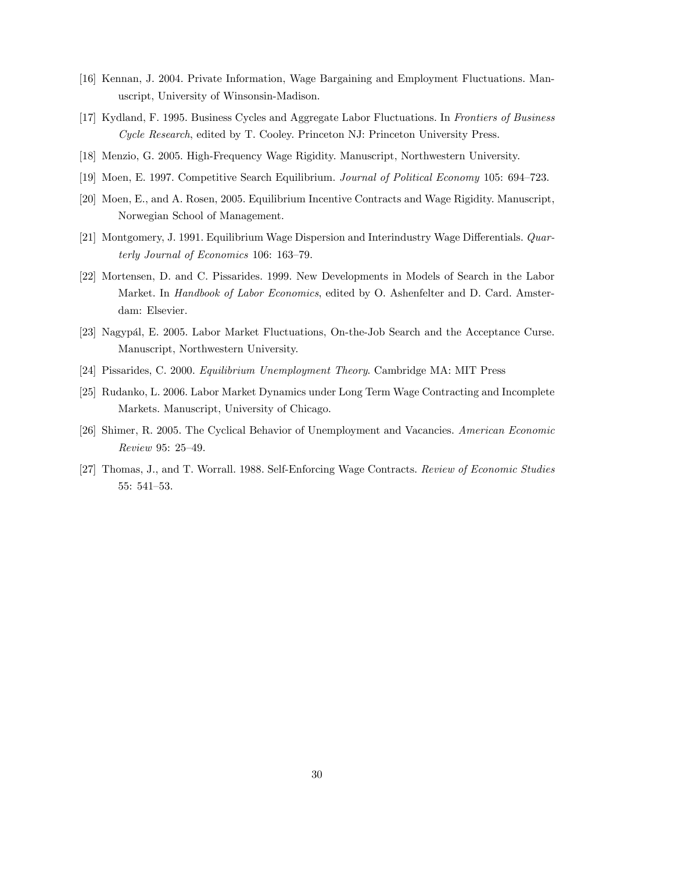- [16] Kennan, J. 2004. Private Information, Wage Bargaining and Employment Fluctuations. Manuscript, University of Winsonsin-Madison.
- [17] Kydland, F. 1995. Business Cycles and Aggregate Labor Fluctuations. In Frontiers of Business Cycle Research, edited by T. Cooley. Princeton NJ: Princeton University Press.
- [18] Menzio, G. 2005. High-Frequency Wage Rigidity. Manuscript, Northwestern University.
- [19] Moen, E. 1997. Competitive Search Equilibrium. Journal of Political Economy 105: 694–723.
- [20] Moen, E., and A. Rosen, 2005. Equilibrium Incentive Contracts and Wage Rigidity. Manuscript, Norwegian School of Management.
- [21] Montgomery, J. 1991. Equilibrium Wage Dispersion and Interindustry Wage Differentials. Quarterly Journal of Economics 106:  $163-79$ .
- [22] Mortensen, D. and C. Pissarides. 1999. New Developments in Models of Search in the Labor Market. In Handbook of Labor Economics, edited by O. Ashenfelter and D. Card. Amsterdam: Elsevier.
- [23] Nagypál, E. 2005. Labor Market Fluctuations, On-the-Job Search and the Acceptance Curse. Manuscript, Northwestern University.
- [24] Pissarides, C. 2000. Equilibrium Unemployment Theory. Cambridge MA: MIT Press
- [25] Rudanko, L. 2006. Labor Market Dynamics under Long Term Wage Contracting and Incomplete Markets. Manuscript, University of Chicago.
- [26] Shimer, R. 2005. The Cyclical Behavior of Unemployment and Vacancies. American Economic Review 95: 25-49.
- [27] Thomas, J., and T. Worrall. 1988. Self-Enforcing Wage Contracts. Review of Economic Studies 55: 541-53.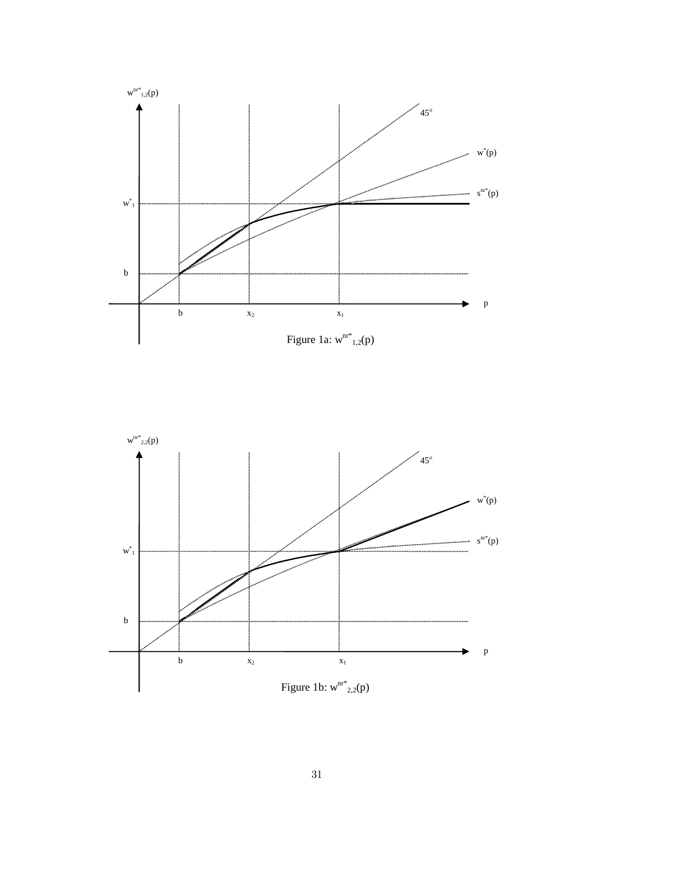